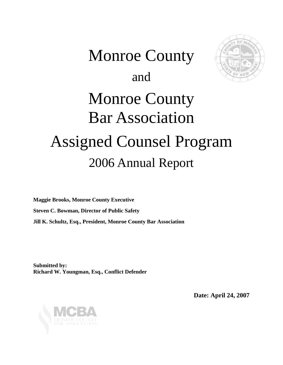# Monroe County and Monroe County Bar Association Assigned Counsel Program 2006 Annual Report

**Maggie Brooks, Monroe County Executive Steven C. Bowman, Director of Public Safety Jill K. Schultz, Esq., President, Monroe County Bar Association** 

**Submitted by: Richard W. Youngman, Esq., Conflict Defender** 

**Date: April 24, 2007**

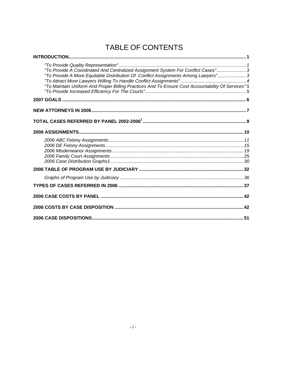## TABLE OF CONTENTS

| "To Provide A Coordinated And Centralized Assignment System For Conflict Cases"3<br>"To Provide A More Equitable Distribution Of Conflict Assignments Among Lawyers" 3<br>"To Maintain Uniform And Proper Billing Practices And To Ensure Cost Accountability Of Services" 5 |  |
|------------------------------------------------------------------------------------------------------------------------------------------------------------------------------------------------------------------------------------------------------------------------------|--|
|                                                                                                                                                                                                                                                                              |  |
|                                                                                                                                                                                                                                                                              |  |
|                                                                                                                                                                                                                                                                              |  |
|                                                                                                                                                                                                                                                                              |  |
|                                                                                                                                                                                                                                                                              |  |
|                                                                                                                                                                                                                                                                              |  |
|                                                                                                                                                                                                                                                                              |  |
|                                                                                                                                                                                                                                                                              |  |
|                                                                                                                                                                                                                                                                              |  |
|                                                                                                                                                                                                                                                                              |  |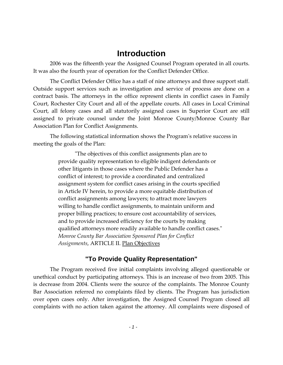#### **Introduction**

<span id="page-2-0"></span>2006 was the fifteenth year the Assigned Counsel Program operated in all courts. It was also the fourth year of operation for the Conflict Defender Office.

The Conflict Defender Office has a staff of nine attorneys and three support staff. Outside support services such as investigation and service of process are done on a contract basis. The attorneys in the office represent clients in conflict cases in Family Court, Rochester City Court and all of the appellate courts. All cases in Local Criminal Court, all felony cases and all statutorily assigned cases in Superior Court are still assigned to private counsel under the Joint Monroe County/Monroe County Bar Association Plan for Conflict Assignments.

The following statistical information shows the Programʹs relative success in meeting the goals of the Plan:

> ʺThe objectives of this conflict assignments plan are to provide quality representation to eligible indigent defendants or other litigants in those cases where the Public Defender has a conflict of interest; to provide a coordinated and centralized assignment system for conflict cases arising in the courts specified in Article IV herein, to provide a more equitable distribution of conflict assignments among lawyers; to attract more lawyers willing to handle conflict assignments, to maintain uniform and proper billing practices; to ensure cost accountability of services, and to provide increased efficiency for the courts by making qualified attorneys more readily available to handle conflict cases." *Monroe County Bar Association Sponsored Plan for Conflict Assignments*, ARTICLE II. Plan Objectives

#### **"To Provide Quality Representation"**

The Program received five initial complaints involving alleged questionable or unethical conduct by participating attorneys. This is an increase of two from 2005. This is decrease from 2004. Clients were the source of the complaints. The Monroe County Bar Association referred no complaints filed by clients. The Program has jurisdiction over open cases only. After investigation, the Assigned Counsel Program closed all complaints with no action taken against the attorney. All complaints were disposed of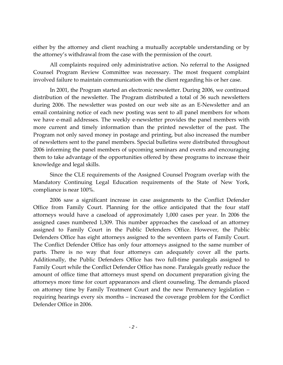either by the attorney and client reaching a mutually acceptable understanding or by the attorney's withdrawal from the case with the permission of the court.

All complaints required only administrative action. No referral to the Assigned Counsel Program Review Committee was necessary. The most frequent complaint involved failure to maintain communication with the client regarding his or her case.

In 2001, the Program started an electronic newsletter. During 2006, we continued distribution of the newsletter. The Program distributed a total of 36 such newsletters during 2006. The newsletter was posted on our web site as an E‐Newsletter and an email containing notice of each new posting was sent to all panel members for whom we have e-mail addresses. The weekly e-newsletter provides the panel members with more current and timely information than the printed newsletter of the past. The Program not only saved money in postage and printing, but also increased the number of newsletters sent to the panel members. Special bulletins were distributed throughout 2006 informing the panel members of upcoming seminars and events and encouraging them to take advantage of the opportunities offered by these programs to increase their knowledge and legal skills.

Since the CLE requirements of the Assigned Counsel Program overlap with the Mandatory Continuing Legal Education requirements of the State of New York, compliance is near 100%.

2006 saw a significant increase in case assignments to the Conflict Defender Office from Family Court. Planning for the office anticipated that the four staff attorneys would have a caseload of approximately 1,000 cases per year. In 2006 the assigned cases numbered 1,309. This number approaches the caseload of an attorney assigned to Family Court in the Public Defenders Office. However, the Public Defenders Office has eight attorneys assigned to the seventeen parts of Family Court. The Conflict Defender Office has only four attorneys assigned to the same number of parts. There is no way that four attorneys can adequately cover all the parts. Additionally, the Public Defenders Office has two full-time paralegals assigned to Family Court while the Conflict Defender Office has none. Paralegals greatly reduce the amount of office time that attorneys must spend on document preparation giving the attorneys more time for court appearances and client counseling. The demands placed on attorney time by Family Treatment Court and the new Permanency legislation – requiring hearings every six months – increased the coverage problem for the Conflict Defender Office in 2006.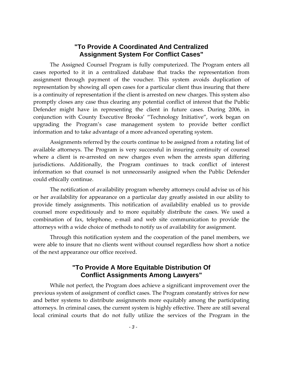#### **"To Provide A Coordinated And Centralized Assignment System For Conflict Cases"**

<span id="page-4-0"></span>The Assigned Counsel Program is fully computerized. The Program enters all cases reported to it in a centralized database that tracks the representation from assignment through payment of the voucher. This system avoids duplication of representation by showing all open cases for a particular client thus insuring that there is a continuity of representation if the client is arrested on new charges. This system also promptly closes any case thus clearing any potential conflict of interest that the Public Defender might have in representing the client in future cases. During 2006, in conjunction with County Executive Brooks' "Technology Initiative", work began on upgrading the Program's case management system to provide better conflict information and to take advantage of a more advanced operating system.

Assignments referred by the courts continue to be assigned from a rotating list of available attorneys. The Program is very successful in insuring continuity of counsel where a client is re-arrested on new charges even when the arrests span differing jurisdictions. Additionally, the Program continues to track conflict of interest information so that counsel is not unnecessarily assigned when the Public Defender could ethically continue.

The notification of availability program whereby attorneys could advise us of his or her availability for appearance on a particular day greatly assisted in our ability to provide timely assignments. This notification of availability enabled us to provide counsel more expeditiously and to more equitably distribute the cases. We used a combination of fax, telephone, e‐mail and web site communication to provide the attorneys with a wide choice of methods to notify us of availability for assignment.

Through this notification system and the cooperation of the panel members, we were able to insure that no clients went without counsel regardless how short a notice of the next appearance our office received.

#### **"To Provide A More Equitable Distribution Of Conflict Assignments Among Lawyers"**

While not perfect, the Program does achieve a significant improvement over the previous system of assignment of conflict cases. The Program constantly strives for new and better systems to distribute assignments more equitably among the participating attorneys. In criminal cases, the current system is highly effective. There are still several local criminal courts that do not fully utilize the services of the Program in the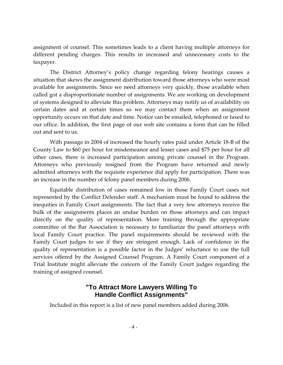<span id="page-5-0"></span>assignment of counsel. This sometimes leads to a client having multiple attorneys for different pending charges. This results in increased and unnecessary costs to the taxpayer.

The District Attorney's policy change regarding felony hearings causes a situation that skews the assignment distribution toward those attorneys who were most available for assignments. Since we need attorneys very quickly, those available when called got a disproportionate number of assignments. We are working on development of systems designed to alleviate this problem. Attorneys may notify us of availability on certain dates and at certain times so we may contact them when an assignment opportunity occurs on that date and time. Notice can be emailed, telephoned or faxed to our office. In addition, the first page of our web site contains a form that can be filled out and sent to us.

With passage in 2004 of increased the hourly rates paid under Article 18‐B of the County Law to \$60 per hour for misdemeanor and lesser cases and \$75 per hour for all other cases, there is increased participation among private counsel in the Program. Attorneys who previously resigned from the Program have returned and newly admitted attorneys with the requisite experience did apply for participation. There was an increase in the number of felony panel members during 2006.

Equitable distribution of cases remained low in those Family Court cases not represented by the Conflict Defender staff. A mechanism must be found to address the inequities in Family Court assignments. The fact that a very few attorneys receive the bulk of the assignments places an undue burden on those attorneys and can impact directly on the quality of representation. More training through the appropriate committee of the Bar Association is necessary to familiarize the panel attorneys with local Family Court practice. The panel requirements should be reviewed with the Family Court judges to see if they are stringent enough. Lack of confidence in the quality of representation is a possible factor in the Judges' reluctance to use the full services offered by the Assigned Counsel Program. A Family Court component of a Trial Institute might alleviate the concern of the Family Court judges regarding the training of assigned counsel.

#### **"To Attract More Lawyers Willing To Handle Conflict Assignments"**

Included in this report is a list of new panel members added during 2006.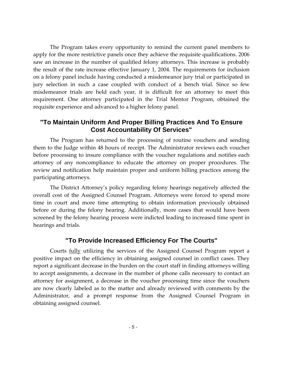<span id="page-6-0"></span>The Program takes every opportunity to remind the current panel members to apply for the more restrictive panels once they achieve the requisite qualifications. 2006 saw an increase in the number of qualified felony attorneys. This increase is probably the result of the rate increase effective January 1, 2004. The requirements for inclusion on a felony panel include having conducted a misdemeanor jury trial or participated in jury selection in such a case coupled with conduct of a bench trial. Since so few misdemeanor trials are held each year, it is difficult for an attorney to meet this requirement. One attorney participated in the Trial Mentor Program, obtained the requisite experience and advanced to a higher felony panel.

#### **"To Maintain Uniform And Proper Billing Practices And To Ensure Cost Accountability Of Services"**

The Program has returned to the processing of routine vouchers and sending them to the Judge within 48 hours of receipt. The Administrator reviews each voucher before processing to insure compliance with the voucher regulations and notifies each attorney of any noncompliance to educate the attorney on proper procedures. The review and notification help maintain proper and uniform billing practices among the participating attorneys.

The District Attorney's policy regarding felony hearings negatively affected the overall cost of the Assigned Counsel Program. Attorneys were forced to spend more time in court and more time attempting to obtain information previously obtained before or during the felony hearing. Additionally, more cases that would have been screened by the felony hearing process were indicted leading to increased time spent in hearings and trials.

#### **"To Provide Increased Efficiency For The Courts"**

Courts fully utilizing the services of the Assigned Counsel Program report a positive impact on the efficiency in obtaining assigned counsel in conflict cases. They report a significant decrease in the burden on the court staff in finding attorneys willing to accept assignments, a decrease in the number of phone calls necessary to contact an attorney for assignment, a decrease in the voucher processing time since the vouchers are now clearly labeled as to the matter and already reviewed with comments by the Administrator, and a prompt response from the Assigned Counsel Program in obtaining assigned counsel.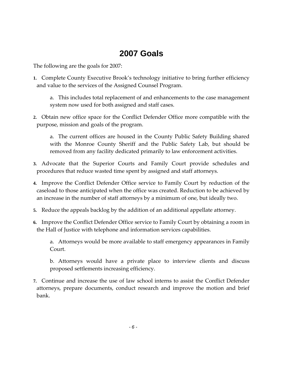## **2007 Goals**

<span id="page-7-0"></span>The following are the goals for 2007:

**1.** Complete County Executive Brook's technology initiative to bring further efficiency and value to the services of the Assigned Counsel Program.

a. This includes total replacement of and enhancements to the case management system now used for both assigned and staff cases.

**2.** Obtain new office space for the Conflict Defender Office more compatible with the purpose, mission and goals of the program.

a. The current offices are housed in the County Public Safety Building shared with the Monroe County Sheriff and the Public Safety Lab, but should be removed from any facility dedicated primarily to law enforcement activities.

- **3.** Advocate that the Superior Courts and Family Court provide schedules and procedures that reduce wasted time spent by assigned and staff attorneys.
- **4.** Improve the Conflict Defender Office service to Family Court by reduction of the caseload to those anticipated when the office was created. Reduction to be achieved by an increase in the number of staff attorneys by a minimum of one, but ideally two.
- **5.** Reduce the appeals backlog by the addition of an additional appellate attorney.
- **6.** Improve the Conflict Defender Office service to Family Court by obtaining a room in the Hall of Justice with telephone and information services capabilities.

a. Attorneys would be more available to staff emergency appearances in Family Court.

b. Attorneys would have a private place to interview clients and discuss proposed settlements increasing efficiency.

**7.** Continue and increase the use of law school interns to assist the Conflict Defender attorneys, prepare documents, conduct research and improve the motion and brief bank.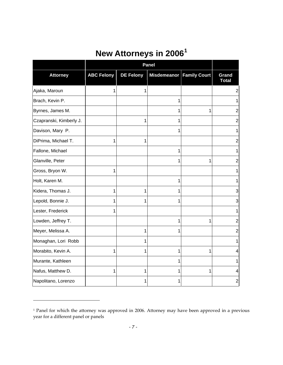# **New Attorneys in 2006[1](#page-8-1)**

<span id="page-8-0"></span>

|                         |                   |                  | Panel                      |   |                       |  |  |  |
|-------------------------|-------------------|------------------|----------------------------|---|-----------------------|--|--|--|
| <b>Attorney</b>         | <b>ABC Felony</b> | <b>DE Felony</b> | Misdemeanor   Family Court |   | Grand<br><b>Total</b> |  |  |  |
| Ajaka, Maroun           | 1                 | 1                |                            |   | $\overline{2}$        |  |  |  |
| Brach, Kevin P.         |                   |                  | 1                          |   |                       |  |  |  |
| Byrnes, James M.        |                   |                  | 1                          | 1 | 2                     |  |  |  |
| Czapranski, Kimberly J. |                   | 1                | 1                          |   | 2                     |  |  |  |
| Davison, Mary P.        |                   |                  | 1                          |   |                       |  |  |  |
| DiPrima, Michael T.     | 1                 | 1                |                            |   | 2                     |  |  |  |
| Fallone, Michael        |                   |                  | 1                          |   |                       |  |  |  |
| Glanville, Peter        |                   |                  | 1                          | 1 | 2                     |  |  |  |
| Gross, Bryon W.         | 1                 |                  |                            |   |                       |  |  |  |
| Holt, Karen M.          |                   |                  | 1                          |   |                       |  |  |  |
| Kidera, Thomas J.       | 1                 | 1                | 1                          |   | 3                     |  |  |  |
| Lepold, Bonnie J.       | 1                 |                  | 1                          |   | 3                     |  |  |  |
| Lester, Frederick       | 1                 |                  |                            |   |                       |  |  |  |
| Lowden, Jeffrey T.      |                   |                  | 1                          | 1 | 2                     |  |  |  |
| Meyer, Melissa A.       |                   | 1                |                            |   | 2                     |  |  |  |
| Monaghan, Lori Robb     |                   |                  |                            |   |                       |  |  |  |
| Morabito, Kevin A.      | 1                 | 1                | 1                          | 1 |                       |  |  |  |
| Murante, Kathleen       |                   |                  |                            |   |                       |  |  |  |
| Nafus, Matthew D.       | 1                 | 1                |                            | 1 | 4                     |  |  |  |
| Napolitano, Lorenzo     |                   |                  |                            |   | 2                     |  |  |  |

<span id="page-8-1"></span><sup>&</sup>lt;sup>1</sup> Panel for which the attorney was approved in 2006. Attorney may have been approved in a previous year for a different panel or panels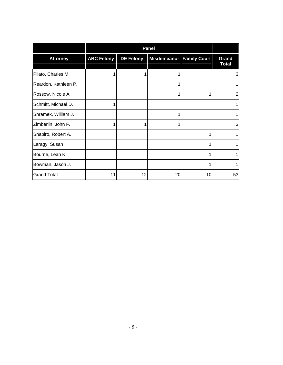|                      |                   | <b>Panel</b>     |                            |    |                       |  |  |
|----------------------|-------------------|------------------|----------------------------|----|-----------------------|--|--|
| <b>Attorney</b>      | <b>ABC Felony</b> | <b>DE Felony</b> | Misdemeanor   Family Court |    | Grand<br><b>Total</b> |  |  |
| Pilato, Charles M.   |                   |                  |                            |    | 3                     |  |  |
| Reardon, Kathleen P. |                   |                  | 1                          |    |                       |  |  |
| Rossow, Nicole A.    |                   |                  | 1                          |    | $\overline{2}$        |  |  |
| Schmitt, Michael D.  |                   |                  |                            |    | 1                     |  |  |
| Shramek, William J.  |                   |                  |                            |    |                       |  |  |
| Zimberlin, John F.   |                   |                  | 1                          |    | 3                     |  |  |
| Shapiro, Robert A.   |                   |                  |                            | 1  | 1                     |  |  |
| Laragy, Susan        |                   |                  |                            |    |                       |  |  |
| Bourne, Leah K.      |                   |                  |                            |    |                       |  |  |
| Bowman, Jason J.     |                   |                  |                            |    |                       |  |  |
| <b>Grand Total</b>   | 11                | 12               | 20                         | 10 | 53                    |  |  |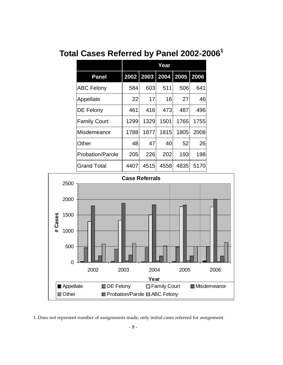# <span id="page-10-0"></span>**Total Cases Referred by Panel 2002-2006<sup>1</sup>**

|                         | Year |                          |      |      |      |
|-------------------------|------|--------------------------|------|------|------|
| <b>Panel</b>            |      | 2002 2003 2004 2005 2006 |      |      |      |
| <b>ABC Felony</b>       | 584  | 603                      | 511  | 506  | 641  |
| Appellate               | 22   | 17                       | 16   | 27   | 46   |
| DE Felony               | 461  | 416                      | 473  | 487  | 496  |
| <b>Family Court</b>     | 1299 | 1329                     | 1501 | 1765 | 1755 |
| Misdemeanor             | 1788 | 1877                     | 1815 | 1805 | 2008 |
| Other                   | 48   | 47                       | 40   | 52   | 26   |
| <b>Probation/Parole</b> | 205  | 226                      | 202  | 193  | 198  |
| <b>Grand Total</b>      | 4407 | 4515                     | 4558 | 4835 | 5170 |



1. Does not represent number of assignments made, only initial cases referred for assignment.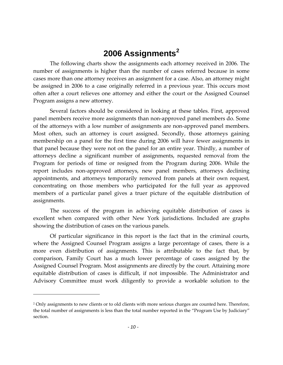## **2006 Assignments[2](#page-11-1)**

<span id="page-11-0"></span>The following charts show the assignments each attorney received in 2006. The number of assignments is higher than the number of cases referred because in some cases more than one attorney receives an assignment for a case. Also, an attorney might be assigned in 2006 to a case originally referred in a previous year. This occurs most often after a court relieves one attorney and either the court or the Assigned Counsel Program assigns a new attorney.

Several factors should be considered in looking at these tables. First, approved panel members receive more assignments than non‐approved panel members do. Some of the attorneys with a low number of assignments are non‐approved panel members. Most often, such an attorney is court assigned. Secondly, those attorneys gaining membership on a panel for the first time during 2006 will have fewer assignments in that panel because they were not on the panel for an entire year. Thirdly, a number of attorneys decline a significant number of assignments, requested removal from the Program for periods of time or resigned from the Program during 2006. While the report includes non‐approved attorneys, new panel members, attorneys declining appointments, and attorneys temporarily removed from panels at their own request, concentrating on those members who participated for the full year as approved members of a particular panel gives a truer picture of the equitable distribution of assignments.

The success of the program in achieving equitable distribution of cases is excellent when compared with other New York jurisdictions. Included are graphs showing the distribution of cases on the various panels.

Of particular significance in this report is the fact that in the criminal courts, where the Assigned Counsel Program assigns a large percentage of cases, there is a more even distribution of assignments. This is attributable to the fact that, by comparison, Family Court has a much lower percentage of cases assigned by the Assigned Counsel Program. Most assignments are directly by the court. Attaining more equitable distribution of cases is difficult, if not impossible. The Administrator and Advisory Committee must work diligently to provide a workable solution to the

<span id="page-11-1"></span><sup>&</sup>lt;sup>2</sup> Only assignments to new clients or to old clients with more serious charges are counted here. Therefore, the total number of assignments is less than the total number reported in the "Program Use by Judiciary" section.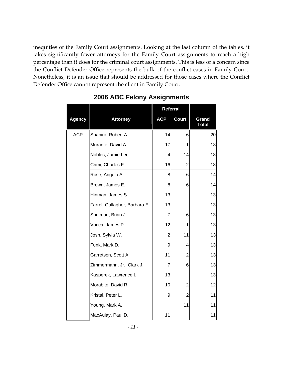<span id="page-12-0"></span>inequities of the Family Court assignments. Looking at the last column of the tables, it takes significantly fewer attorneys for the Family Court assignments to reach a high percentage than it does for the criminal court assignments. This is less of a concern since the Conflict Defender Office represents the bulk of the conflict cases in Family Court. Nonetheless, it is an issue that should be addressed for those cases where the Conflict Defender Office cannot represent the client in Family Court.

|               |                               | <b>Referral</b> |              |                       |
|---------------|-------------------------------|-----------------|--------------|-----------------------|
| <b>Agency</b> | <b>Attorney</b>               | <b>ACP</b>      | <b>Court</b> | Grand<br><b>Total</b> |
| <b>ACP</b>    | Shapiro, Robert A.            | 14              | 6            | 20                    |
|               | Murante, David A.             | 17              | 1            | 18                    |
|               | Nobles, Jamie Lee             | 4               | 14           | 18                    |
|               | Crimi, Charles F.             | 16              | 2            | 18                    |
|               | Rose, Angelo A.               | 8               | 6            | 14                    |
|               | Brown, James E.               | 8               | 6            | 14                    |
|               | Hinman, James S.              | 13              |              | 13                    |
|               | Farrell-Gallagher, Barbara E. | 13              |              | 13                    |
|               | Shulman, Brian J.             | $\overline{7}$  | 6            | 13                    |
|               | Vacca, James P.               | 12              | 1            | 13                    |
|               | Josh, Sylvia W.               | $\overline{2}$  | 11           | 13                    |
|               | Funk, Mark D.                 | 9               | 4            | 13                    |
|               | Garretson, Scott A.           | 11              | 2            | 13                    |
|               | Zimmermann, Jr., Clark J.     | $\overline{7}$  | 6            | 13                    |
|               | Kasperek, Lawrence L.         | 13              |              | 13                    |
|               | Morabito, David R.            | 10              | 2            | 12                    |
|               | Kristal, Peter L.             | 9               | 2            | 11                    |
|               | Young, Mark A.                |                 | 11           | 11                    |
|               | MacAulay, Paul D.             | 11              |              | 11                    |

#### **2006 ABC Felony Assignments**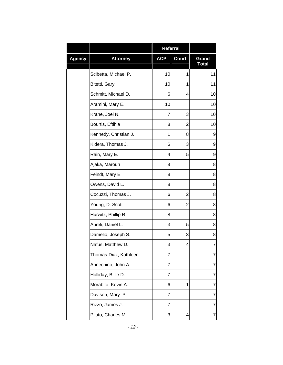|               |                       | Referral   |              |                       |
|---------------|-----------------------|------------|--------------|-----------------------|
| <b>Agency</b> | <b>Attorney</b>       | <b>ACP</b> | <b>Court</b> | Grand<br><b>Total</b> |
|               | Scibetta, Michael P.  | 10         | 1            | 11                    |
|               | Bitetti, Gary         | 10         | 1            | 11                    |
|               | Schmitt, Michael D.   | 6          | 4            | 10                    |
|               | Aramini, Mary E.      | 10         |              | 10                    |
|               | Krane, Joel N.        | 7          | 3            | 10                    |
|               | Bourtis, Eftihia      | 8          | 2            | 10                    |
|               | Kennedy, Christian J. | 1          | 8            | 9                     |
|               | Kidera, Thomas J.     | 6          | 3            | 9                     |
|               | Rain, Mary E.         | 4          | 5            | 9                     |
|               | Ajaka, Maroun         | 8          |              | 8                     |
|               | Feindt, Mary E.       | 8          |              | 8                     |
|               | Owens, David L.       | 8          |              | 8                     |
|               | Cocuzzi, Thomas J.    | 6          | 2            | 8                     |
|               | Young, D. Scott       | 6          | 2            | 8                     |
|               | Hurwitz, Phillip R.   | 8          |              | 8                     |
|               | Aureli, Daniel L.     | 3          | 5            | 8                     |
|               | Damelio, Joseph S.    | 5          | 3            | 8                     |
|               | Nafus, Matthew D.     | 3          | 4            | 7                     |
|               | Thomas-Diaz, Kathleen | 7          |              | 7                     |
|               | Annechino, John A.    | 7          |              | 7                     |
|               | Holliday, Billie D.   | 7          |              | 7                     |
|               | Morabito, Kevin A.    | 6          | 1            | 7                     |
|               | Davison, Mary P.      | 7          |              | 7                     |
|               | Rizzo, James J.       | 7          |              | $\overline{7}$        |
|               | Pilato, Charles M.    | 3          | 4            | 7                     |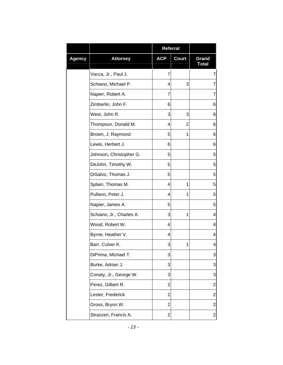|               |                          | Referral       |              |                         |
|---------------|--------------------------|----------------|--------------|-------------------------|
| <b>Agency</b> | <b>Attorney</b>          | <b>ACP</b>     | <b>Court</b> | Grand<br><b>Total</b>   |
|               | Vacca, Jr., Paul J.      | 7              |              | 7                       |
|               | Schiano, Michael P.      | 4              | 3            | 7                       |
|               | Napier, Robert A.        | 7              |              | 7                       |
|               | Zimberlin, John F.       | 6              |              | 6                       |
|               | West, John R.            | 3              | 3            | 6                       |
|               | Thompson, Donald M.      | 4              | 2            | 6                       |
|               | Brown, J. Raymond        | 5              | 1            | 6                       |
|               | Lewis, Herbert J.        | 6              |              | 6                       |
|               | Johnson, Christopher G.  | 5              |              | 5                       |
|               | DeJohn, Timothy W.       | 5              |              | 5                       |
|               | DiSalvo, Thomas J.       | 5              |              | 5                       |
|               | Splain, Thomas M.        | 4              | 1            | 5                       |
|               | Pullano, Peter J.        | 4              | 1            | 5                       |
|               | Napier, James A.         | 5              |              | 5                       |
|               | Schiano, Jr., Charles A. | 3              | 1            | 4                       |
|               | Wood, Robert W.          | 4              |              | 4                       |
|               | Byrne, Heather V.        | 4              |              | 4                       |
|               | Barr, Culver K.          | 3              | 1            | 4                       |
|               | DiPrima, Michael T.      | 3              |              | 3                       |
|               | Burke, Adrian J.         | 3              |              | 3                       |
|               | Conaty, Jr., George W.   | 3              |              | 3                       |
|               | Perez, Gilbert R.        | $\overline{2}$ |              | $\overline{\mathbf{c}}$ |
|               | Lester, Frederick        | 2              |              | $\overline{c}$          |
|               | Gross, Bryon W.          | $\overline{2}$ |              | $\overline{c}$          |
|               | Strazzeri, Francis A.    | $\overline{c}$ |              | 2                       |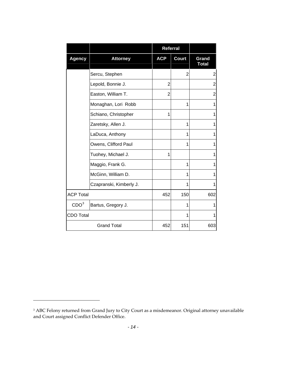|                  |                         | <b>Referral</b> |                |                       |
|------------------|-------------------------|-----------------|----------------|-----------------------|
| <b>Agency</b>    | <b>Attorney</b>         | <b>ACP</b>      | <b>Court</b>   | Grand<br><b>Total</b> |
|                  | Sercu, Stephen          |                 | $\overline{2}$ | 2                     |
|                  | Lepold, Bonnie J.       | 2               |                | $\overline{2}$        |
|                  | Easton, William T.      | $\overline{2}$  |                | $\overline{2}$        |
|                  | Monaghan, Lori Robb     |                 | 1              | 1                     |
|                  | Schiano, Christopher    | 1               |                | 1                     |
|                  | Zaretsky, Allen J.      |                 | 1              | 1                     |
|                  | LaDuca, Anthony         |                 | 1              | 1                     |
|                  | Owens, Clifford Paul    |                 | 1              | 1                     |
|                  | Tuohey, Michael J.      | 1               |                | 1                     |
|                  | Maggio, Frank G.        |                 | 1              | 1                     |
|                  | McGinn, William D.      |                 | 1              | 1                     |
|                  | Czapranski, Kimberly J. |                 | 1              | 1                     |
| <b>ACP Total</b> |                         | 452             | 150            | 602                   |
| CDO <sup>3</sup> | Bartus, Gregory J.      |                 | 1              | 1                     |
| <b>CDO Total</b> |                         |                 | 1              |                       |
|                  | <b>Grand Total</b>      | 452             | 151            | 603                   |

<span id="page-15-0"></span><sup>&</sup>lt;sup>3</sup> ABC Felony returned from Grand Jury to City Court as a misdemeanor. Original attorney unavailable and Court assigned Conflict Defender Office.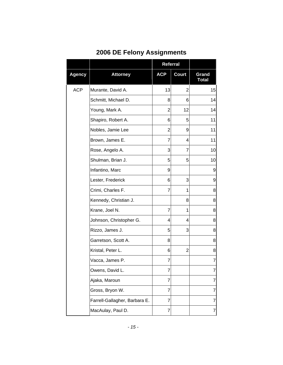<span id="page-16-0"></span>

|               |                               | <b>Referral</b> |              |                       |
|---------------|-------------------------------|-----------------|--------------|-----------------------|
| <b>Agency</b> | <b>Attorney</b>               | <b>ACP</b>      | <b>Court</b> | Grand<br><b>Total</b> |
| <b>ACP</b>    | Murante, David A.             | 13              | 2            | 15                    |
|               | Schmitt, Michael D.           | 8               | 6            | 14                    |
|               | Young, Mark A.                | 2               | 12           | 14                    |
|               | Shapiro, Robert A.            | 6               | 5            | 11                    |
|               | Nobles, Jamie Lee             | $\overline{2}$  | 9            | 11                    |
|               | Brown, James E.               | 7               | 4            | 11                    |
|               | Rose, Angelo A.               | 3               | 7            | 10                    |
|               | Shulman, Brian J.             | 5               | 5            | 10                    |
|               | Infantino, Marc               | 9               |              | 9                     |
|               | Lester, Frederick             | 6               | 3            | 9                     |
|               | Crimi, Charles F.             | $\overline{7}$  | 1            | 8                     |
|               | Kennedy, Christian J.         |                 | 8            | 8                     |
|               | Krane, Joel N.                | 7               | 1            | 8                     |
|               | Johnson, Christopher G.       | 4               | 4            | 8                     |
|               | Rizzo, James J.               | 5               | 3            | 8                     |
|               | Garretson, Scott A.           | 8               |              | 8                     |
|               | Kristal, Peter L.             | 6               | 2            | 8                     |
|               | Vacca, James P.               | 7               |              | $\overline{7}$        |
|               | Owens, David L.               | 7               |              | 7                     |
|               | Ajaka, Maroun                 | 7               |              | 7                     |
|               | Gross, Bryon W.               | 7               |              | 7                     |
|               | Farrell-Gallagher, Barbara E. | 7               |              | 7                     |
|               | MacAulay, Paul D.             | 7               |              | 7                     |

## **2006 DE Felony Assignments**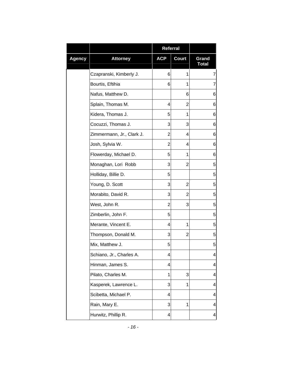|               |                           | Referral       |       |                       |
|---------------|---------------------------|----------------|-------|-----------------------|
| <b>Agency</b> | <b>Attorney</b>           | <b>ACP</b>     | Court | Grand<br><b>Total</b> |
|               | Czapranski, Kimberly J.   | 6              | 1     | 7                     |
|               | Bourtis, Eftihia          | 6              | 1     | 7                     |
|               | Nafus, Matthew D.         |                | 6     | 6                     |
|               | Splain, Thomas M.         | 4              | 2     | 6                     |
|               | Kidera, Thomas J.         | 5              | 1     | 6                     |
|               | Cocuzzi, Thomas J.        | 3              | 3     | 6                     |
|               | Zimmermann, Jr., Clark J. | 2              | 4     | 6                     |
|               | Josh, Sylvia W.           | $\overline{2}$ | 4     | 6                     |
|               | Flowerday, Michael D.     | 5              | 1     | 6                     |
|               | Monaghan, Lori Robb       | 3              | 2     | 5                     |
|               | Holliday, Billie D.       | 5              |       | 5                     |
|               | Young, D. Scott           | 3              | 2     | 5                     |
|               | Morabito, David R.        | 3              | 2     | 5                     |
|               | West, John R.             | 2              | 3     | 5                     |
|               | Zimberlin, John F.        | 5              |       | 5                     |
|               | Merante, Vincent E.       | 4              | 1     | 5                     |
|               | Thompson, Donald M.       | 3              | 2     | 5                     |
|               | Mix, Matthew J.           | 5              |       | 5                     |
|               | Schiano, Jr., Charles A.  | 4              |       | 4                     |
|               | Hinman, James S.          | 4              |       | 4                     |
|               | Pilato, Charles M.        | 1              | 3     | 4                     |
|               | Kasperek, Lawrence L.     | 3              | 1     | 4                     |
|               | Scibetta, Michael P.      | 4              |       | 4                     |
|               | Rain, Mary E.             | 3              | 1     | 4                     |
|               | Hurwitz, Phillip R.       | 4              |       | 4                     |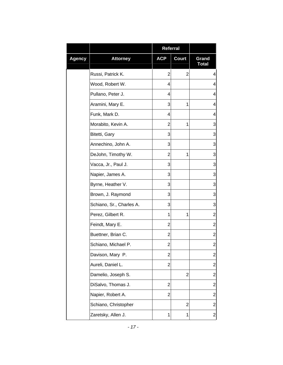|               |                          | Referral                |                |                         |
|---------------|--------------------------|-------------------------|----------------|-------------------------|
| <b>Agency</b> | <b>Attorney</b>          | <b>ACP</b>              | <b>Court</b>   | Grand<br><b>Total</b>   |
|               | Russi, Patrick K.        | $\overline{2}$          | 2              | 4                       |
|               | Wood, Robert W.          | 4                       |                | 4                       |
|               | Pullano, Peter J.        | 4                       |                | 4                       |
|               | Aramini, Mary E.         | 3                       | 1              | 4                       |
|               | Funk, Mark D.            | 4                       |                | 4                       |
|               | Morabito, Kevin A.       | 2                       | 1              | 3                       |
|               | Bitetti, Gary            | 3                       |                | 3                       |
|               | Annechino, John A.       | 3                       |                | 3                       |
|               | DeJohn, Timothy W.       | 2                       | 1              | 3                       |
|               | Vacca, Jr., Paul J.      | 3                       |                | 3                       |
|               | Napier, James A.         | 3                       |                | 3                       |
|               | Byrne, Heather V.        | 3                       |                | 3                       |
|               | Brown, J. Raymond        | 3                       |                | 3                       |
|               | Schiano, Sr., Charles A. | 3                       |                | 3                       |
|               | Perez, Gilbert R.        | 1                       | 1              | $\overline{2}$          |
|               | Feindt, Mary E.          | $\overline{2}$          |                | $\overline{2}$          |
|               | Buettner, Brian C.       | $\overline{2}$          |                | $\overline{2}$          |
|               | Schiano, Michael P.      | $\overline{\mathbf{c}}$ |                | $\overline{\mathbf{c}}$ |
|               | Davison, Mary P.         | $\overline{c}$          |                | $\overline{\mathbf{c}}$ |
|               | Aureli, Daniel L.        | 2                       |                | $\overline{c}$          |
|               | Damelio, Joseph S.       |                         | $\overline{2}$ | $\overline{c}$          |
|               | DiSalvo, Thomas J.       | $\overline{2}$          |                | $\overline{\mathbf{c}}$ |
|               | Napier, Robert A.        | $\overline{2}$          |                | $\overline{c}$          |
|               | Schiano, Christopher     |                         | $\overline{2}$ | $\overline{2}$          |
|               | Zaretsky, Allen J.       | 1                       | 1              | $\overline{\mathbf{c}}$ |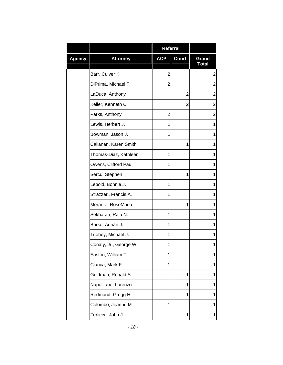|               |                        | <b>Referral</b> |              |                       |
|---------------|------------------------|-----------------|--------------|-----------------------|
| <b>Agency</b> | <b>Attorney</b>        | <b>ACP</b>      | <b>Court</b> | Grand<br><b>Total</b> |
|               | Barr, Culver K.        | $\overline{2}$  |              | $\overline{c}$        |
|               | DiPrima, Michael T.    | 2               |              | $\overline{c}$        |
|               | LaDuca, Anthony        |                 | 2            | $\overline{2}$        |
|               | Keller, Kenneth C.     |                 | 2            | $\overline{c}$        |
|               | Parks, Anthony         | $\overline{2}$  |              | $\overline{2}$        |
|               | Lewis, Herbert J.      | 1               |              | 1                     |
|               | Bowman, Jason J.       | 1               |              | 1                     |
|               | Callanan, Karen Smith  |                 | 1            | 1                     |
|               | Thomas-Diaz, Kathleen  | 1               |              | 1                     |
|               | Owens, Clifford Paul   | 1               |              | 1                     |
|               | Sercu, Stephen         |                 | 1            | 1                     |
|               | Lepold, Bonnie J.      | 1               |              | 1                     |
|               | Strazzeri, Francis A.  | 1               |              | 1                     |
|               | Merante, RoseMaria     |                 | 1            | 1                     |
|               | Sekharan, Raja N.      | 1               |              | 1                     |
|               | Burke, Adrian J.       | 1               |              | 1                     |
|               | Tuohey, Michael J.     | 1               |              | 1                     |
|               | Conaty, Jr., George W. | 1               |              | 1                     |
|               | Easton, William T.     | 1               |              | 1                     |
|               | Cianca, Mark F.        | 1               |              | 1                     |
|               | Goldman, Ronald S.     |                 | 1            | 1                     |
|               | Napolitano, Lorenzo    |                 | 1            | 1                     |
|               | Redmond, Gregg H.      |                 | 1            | 1                     |
|               | Colombo, Jeanne M.     | 1               |              | 1                     |
|               | Ferlicca, John J.      |                 | 1            | 1                     |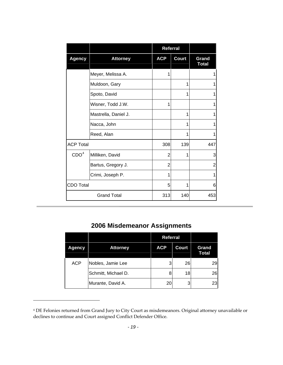<span id="page-20-0"></span>

|                  |                      | Referral       |              |                       |
|------------------|----------------------|----------------|--------------|-----------------------|
| <b>Agency</b>    | <b>Attorney</b>      | <b>ACP</b>     | <b>Court</b> | Grand<br><b>Total</b> |
|                  | Meyer, Melissa A.    | 1              |              |                       |
|                  | Muldoon, Gary        |                | 1            |                       |
|                  | Spoto, David         |                | 1            |                       |
|                  | Wisner, Todd J.W.    | 1              |              |                       |
|                  | Mastrella, Daniel J. |                | 1            |                       |
|                  | Nacca, John          |                | 1            |                       |
|                  | Reed, Alan           |                | 1            |                       |
| <b>ACP Total</b> |                      | 308            | 139          | 447                   |
| CDO <sup>4</sup> | Milliken, David      | 2              | 1            | 3                     |
|                  | Bartus, Gregory J.   | $\overline{2}$ |              | $\overline{2}$        |
|                  | Crimi, Joseph P.     | 1              |              |                       |
| <b>CDO Total</b> |                      | 5              | 1            | 6                     |
|                  | <b>Grand Total</b>   | 313            | 140          | 453                   |

#### **2006 Misdemeanor Assignments**

|            |                     | <b>Referral</b> |              |                       |
|------------|---------------------|-----------------|--------------|-----------------------|
| Agency     | <b>Attorney</b>     | <b>ACP</b>      | <b>Court</b> | Grand<br><b>Total</b> |
| <b>ACP</b> | Nobles, Jamie Lee   | 3               | 26           | 29                    |
|            | Schmitt, Michael D. | 8               | 18           | 26                    |
|            | Murante, David A.   | 20              | 3            | 23                    |

<span id="page-20-1"></span><sup>4</sup> DE Felonies returned from Grand Jury to City Court as misdemeanors. Original attorney unavailable or declines to continue and Court assigned Conflict Defender Office.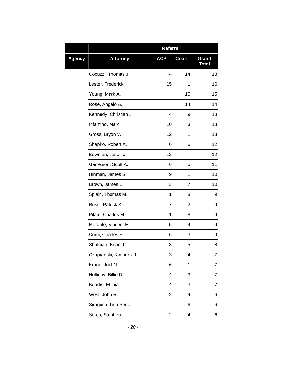|               |                         | <b>Referral</b> |              |                       |
|---------------|-------------------------|-----------------|--------------|-----------------------|
| <b>Agency</b> | <b>Attorney</b>         | <b>ACP</b>      | <b>Court</b> | Grand<br><b>Total</b> |
|               | Cocuzzi, Thomas J.      | 4               | 14           | 18                    |
|               | Lester, Frederick       | 15              | 1            | 16                    |
|               | Young, Mark A.          |                 | 15           | 15                    |
|               | Rose, Angelo A.         |                 | 14           | 14                    |
|               | Kennedy, Christian J.   | 4               | 9            | 13                    |
|               | Infantino, Marc         | 10              | 3            | 13                    |
|               | Gross, Bryon W.         | 12              | 1            | 13                    |
|               | Shapiro, Robert A.      | 6               | 6            | 12                    |
|               | Bowman, Jason J.        | 12              |              | 12                    |
|               | Garretson, Scott A.     | 6               | 5            | 11                    |
|               | Hinman, James S.        | 9               | 1            | 10                    |
|               | Brown, James E.         | 3               | 7            | 10                    |
|               | Splain, Thomas M.       | 1               | 8            | 9                     |
|               | Russi, Patrick K.       | 7               | 2            | 9                     |
|               | Pilato, Charles M.      | 1               | 8            | 9                     |
|               | Merante, Vincent E.     | 5               | 4            | 9                     |
|               | Crimi, Charles F.       | 6               | 3            | 9                     |
|               | Shulman, Brian J.       | 3               | 5            | 8                     |
|               | Czapranski, Kimberly J. | 3               | 4            | 7                     |
|               | Krane, Joel N.          | 6               | 1            | 7                     |
|               | Holliday, Billie D.     | 4               | 3            | 7                     |
|               | Bourtis, Eftihia        | 4               | 3            | 7                     |
|               | West, John R.           | 2               | 4            | 6                     |
|               | Siragusa, Lisa Serio    |                 | 6            | 6                     |
|               | Sercu, Stephen          | 2               | 4            | 6                     |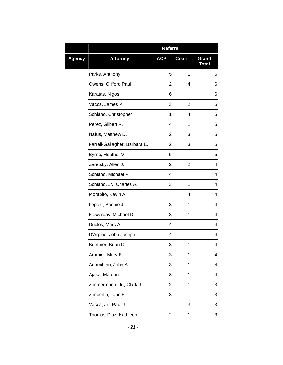|               |                               | <b>Referral</b> |              |                       |
|---------------|-------------------------------|-----------------|--------------|-----------------------|
| <b>Agency</b> | <b>Attorney</b>               | <b>ACP</b>      | <b>Court</b> | Grand<br><b>Total</b> |
|               | Parks, Anthony                | 5               | 1            | 6                     |
|               | Owens, Clifford Paul          | 2               | 4            | 6                     |
|               | Karatas, Nigos                | 6               |              | 6                     |
|               | Vacca, James P.               | 3               | 2            | 5                     |
|               | Schiano, Christopher          | 1               | 4            | 5                     |
|               | Perez, Gilbert R.             | 4               | 1            | 5                     |
|               | Nafus, Matthew D.             | 2               | 3            | 5                     |
|               | Farrell-Gallagher, Barbara E. | $\overline{2}$  | 3            | 5                     |
|               | Byrne, Heather V.             | 5               |              | 5                     |
|               | Zaretsky, Allen J.            | 2               | 2            | 4                     |
|               | Schiano, Michael P.           | 4               |              | 4                     |
|               | Schiano, Jr., Charles A.      | 3               | 1            | 4                     |
|               | Morabito, Kevin A.            |                 | 4            | 4                     |
|               | Lepold, Bonnie J.             | 3               | 1            | 4                     |
|               | Flowerday, Michael D.         | 3               | 1            | 4                     |
|               | Duclos, Marc A.               | 4               |              | 4                     |
|               | D'Arpino, John Joseph         | 4               |              | 4                     |
|               | Buettner, Brian C.            | 3               | 1            | 4                     |
|               | Aramini, Mary E.              | 3               | 1            | 4                     |
|               | Annechino, John A.            | 3               | 1            | 4                     |
|               | Ajaka, Maroun                 | 3               | 1            | 4                     |
|               | Zimmermann, Jr., Clark J.     | 2               | 1            | 3                     |
|               | Zimberlin, John F.            | 3               |              | 3                     |
|               | Vacca, Jr., Paul J.           |                 | 3            | 3                     |
|               | Thomas-Diaz, Kathleen         | 2               | 1            | 3                     |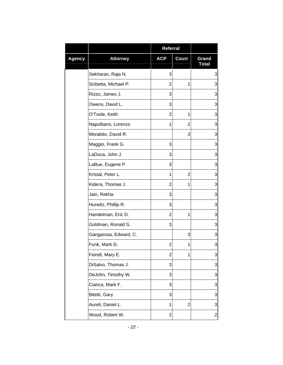|               |                       | <b>Referral</b> |                |                         |
|---------------|-----------------------|-----------------|----------------|-------------------------|
| <b>Agency</b> | <b>Attorney</b>       | <b>ACP</b>      | <b>Court</b>   | Grand<br><b>Total</b>   |
|               | Sekharan, Raja N.     | 3               |                | 3                       |
|               | Scibetta, Michael P.  | 2               | 1              | 3                       |
|               | Rizzo, James J.       | 3               |                | 3                       |
|               | Owens, David L.       | 3               |                | 3                       |
|               | O'Toole, Keith        | $\overline{2}$  | 1              | 3                       |
|               | Napolitano, Lorenzo   | 1               | $\overline{2}$ | 3                       |
|               | Morabito, David R.    |                 | 3              | 3                       |
|               | Maggio, Frank G.      | 3               |                | 3                       |
|               | LaDuca, John J.       | 3               |                | 3                       |
|               | LaBue, Eugene P.      | 3               |                | 3                       |
|               | Kristal, Peter L.     | 1               | $\overline{2}$ | 3                       |
|               | Kidera, Thomas J.     | 2               | 1              | 3                       |
|               | Jain, Rekha           | 3               |                | 3                       |
|               | Hurwitz, Phillip R.   | 3               |                | 3                       |
|               | Handelman, Eric D.    | 2               | 1              | 3                       |
|               | Goldman, Ronald S.    | 3               |                | 3                       |
|               | Gangarosa, Edward, C. |                 | 3              | 3                       |
|               | Funk, Mark D.         | 2               | 1              | 3                       |
|               | Feindt, Mary E.       | $\overline{2}$  | 1              | 3                       |
|               | DiSalvo, Thomas J.    | 3               |                | 3                       |
|               | DeJohn, Timothy W.    | 3               |                | 3                       |
|               | Cianca, Mark F.       | 3               |                | 3                       |
|               | Bitetti, Gary         | 3               |                | 3                       |
|               | Aureli, Daniel L.     | 1               | 2              | 3                       |
|               | Wood, Robert W.       | 2               |                | $\overline{\mathbf{c}}$ |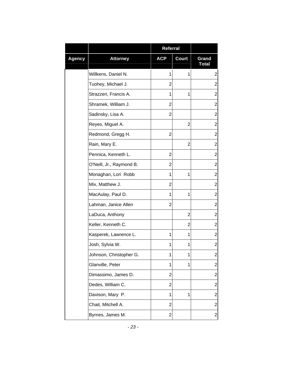|               |                          | <b>Referral</b> |              |                       |
|---------------|--------------------------|-----------------|--------------|-----------------------|
| <b>Agency</b> | <b>Attorney</b>          | <b>ACP</b>      | <b>Court</b> | Grand<br><b>Total</b> |
|               | Willkens, Daniel N.      | 1               | 1            | 2                     |
|               | Tuohey, Michael J.       | 2               |              | $\overline{2}$        |
|               | Strazzeri, Francis A.    | 1               | 1            | 2                     |
|               | Shramek, William J.      | 2               |              | $\overline{2}$        |
|               | Sadinsky, Lisa A.        | 2               |              | $\overline{2}$        |
|               | Reyes, Miguel A.         |                 | 2            | $\overline{2}$        |
|               | Redmond, Gregg H.        | 2               |              | $\overline{2}$        |
|               | Rain, Mary E.            |                 | 2            | $\overline{2}$        |
|               | Pennica, Kenneth L.      | 2               |              | 2                     |
|               | O'Neill, Jr., Raymond B. | 2               |              | $\overline{2}$        |
|               | Monaghan, Lori Robb      | 1               | 1            | $\overline{c}$        |
|               | Mix, Matthew J.          | 2               |              | $\overline{2}$        |
|               | MacAulay, Paul D.        | 1               | 1            | $\overline{2}$        |
|               | Lahman, Janice Allen     | 2               |              | $\overline{2}$        |
|               | LaDuca, Anthony          |                 | 2            | 2                     |
|               | Keller, Kenneth C.       |                 | 2            | $\overline{2}$        |
|               | Kasperek, Lawrence L.    | 1               | 1            | $\overline{2}$        |
|               | Josh, Sylvia W.          | 1               | 1            | $\overline{c}$        |
|               | Johnson, Christopher G.  | 1               | 1            | $\overline{c}$        |
|               | Glanville, Peter         | 1               | 1            | $\overline{2}$        |
|               | Dimassimo, James D.      | 2               |              | $\overline{2}$        |
|               | Dedes, William C.        | $\overline{2}$  |              | $\overline{2}$        |
|               | Davison, Mary P.         | 1               | 1            | $\overline{2}$        |
|               | Chait, Mitchell A.       | $\overline{2}$  |              | $\overline{2}$        |
|               | Byrnes, James M.         | $\overline{2}$  |              | 2                     |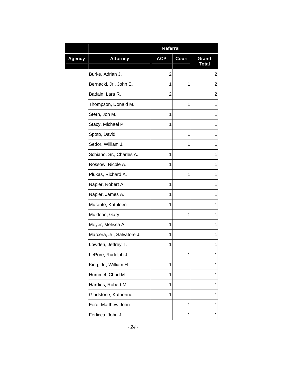|               |                            | <b>Referral</b> |              |                       |
|---------------|----------------------------|-----------------|--------------|-----------------------|
| <b>Agency</b> | <b>Attorney</b>            | <b>ACP</b>      | <b>Court</b> | Grand<br><b>Total</b> |
|               | Burke, Adrian J.           | 2               |              | 2                     |
|               | Bernacki, Jr., John E.     | 1               | 1            | $\overline{2}$        |
|               | Badain, Lara R.            | 2               |              | 2                     |
|               | Thompson, Donald M.        |                 | 1            | 1                     |
|               | Stern, Jon M.              | 1               |              | 1                     |
|               | Stacy, Michael P.          | 1               |              | 1                     |
|               | Spoto, David               |                 | 1            | 1                     |
|               | Sedor, William J.          |                 | 1            | 1                     |
|               | Schiano, Sr., Charles A.   | 1               |              | 1                     |
|               | Rossow, Nicole A.          | 1               |              | 1                     |
|               | Plukas, Richard A.         |                 | 1            | 1                     |
|               | Napier, Robert A.          | 1               |              | 1                     |
|               | Napier, James A.           | 1               |              | 1                     |
|               | Murante, Kathleen          | 1               |              | 1                     |
|               | Muldoon, Gary              |                 | 1            | 1                     |
|               | Meyer, Melissa A.          | $\mathbf{1}$    |              | 1                     |
|               | Marcera, Jr., Salvatore J. | 1               |              | 1                     |
|               | Lowden, Jeffrey T.         | 1               |              | 1                     |
|               | LePore, Rudolph J.         |                 | 1            | 1                     |
|               | King, Jr., William H.      | 1               |              | 1                     |
|               | Hummel, Chad M.            | 1               |              | 1                     |
|               | Hardies, Robert M.         | 1               |              | 1                     |
|               | Gladstone, Katherine       | 1               |              | 1                     |
|               | Fero, Matthew John         |                 | 1            | 1                     |
|               | Ferlicca, John J.          |                 | 1            | 1                     |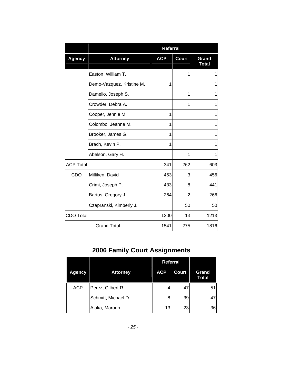<span id="page-26-0"></span>

|                  |                           | <b>Referral</b> |                |                       |
|------------------|---------------------------|-----------------|----------------|-----------------------|
| <b>Agency</b>    | <b>Attorney</b>           | <b>ACP</b>      | <b>Court</b>   | Grand<br><b>Total</b> |
|                  | Easton, William T.        |                 | 1              | 1                     |
|                  | Demo-Vazquez, Kristine M. | 1               |                | 1                     |
|                  | Damelio, Joseph S.        |                 | 1              | 1                     |
|                  | Crowder, Debra A.         |                 | 1              | 1                     |
|                  | Cooper, Jennie M.         | 1               |                | 1                     |
|                  | Colombo, Jeanne M.        | 1               |                | 1                     |
|                  | Brooker, James G.         | 1               |                | 1                     |
|                  | Brach, Kevin P.           | 1               |                | 1                     |
|                  | Abelson, Gary H.          |                 | 1              | 1                     |
| <b>ACP Total</b> |                           | 341             | 262            | 603                   |
| CDO              | Milliken, David           | 453             | 3              | 456                   |
|                  | Crimi, Joseph P.          | 433             | 8              | 441                   |
|                  | Bartus, Gregory J.        | 264             | $\overline{2}$ | 266                   |
|                  | Czapranski, Kimberly J.   |                 | 50             | 50                    |
| <b>CDO Total</b> |                           | 1200            | 13             | 1213                  |
|                  | <b>Grand Total</b>        | 1541            | 275            | 1816                  |

## **2006 Family Court Assignments**

|               |                     | <b>Referral</b> |       |                       |
|---------------|---------------------|-----------------|-------|-----------------------|
| <b>Agency</b> | <b>Attorney</b>     | <b>ACP</b>      | Court | Grand<br><b>Total</b> |
| <b>ACP</b>    | Perez, Gilbert R.   | 4               | 47    | 51                    |
|               | Schmitt, Michael D. | 8               | 39    | 47                    |
|               | Ajaka, Maroun       | 13              | 23    | 36                    |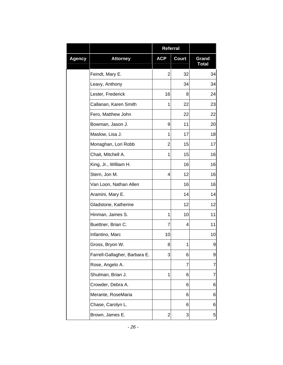|               |                               | Referral                |              |                       |
|---------------|-------------------------------|-------------------------|--------------|-----------------------|
| <b>Agency</b> | <b>Attorney</b>               | <b>ACP</b>              | <b>Court</b> | Grand<br><b>Total</b> |
|               | Feindt, Mary E.               | $\overline{2}$          | 32           | 34                    |
|               | Leavy, Anthony                |                         | 34           | 34                    |
|               | Lester, Frederick             | 16                      | 8            | 24                    |
|               | Callanan, Karen Smith         | 1                       | 22           | 23                    |
|               | Fero, Matthew John            |                         | 22           | 22                    |
|               | Bowman, Jason J.              | 9                       | 11           | 20                    |
|               | Maslow, Lisa J.               | 1                       | 17           | 18                    |
|               | Monaghan, Lori Robb           | 2                       | 15           | 17                    |
|               | Chait, Mitchell A.            | 1                       | 15           | 16                    |
|               | King, Jr., William H.         |                         | 16           | 16                    |
|               | Stern, Jon M.                 | 4                       | 12           | 16                    |
|               | Van Loon, Nathan Allen        |                         | 16           | 16                    |
|               | Aramini, Mary E.              |                         | 14           | 14                    |
|               | Gladstone, Katherine          |                         | 12           | 12                    |
|               | Hinman, James S.              | 1                       | 10           | 11                    |
|               | Buettner, Brian C.            | 7                       | 4            | 11                    |
|               | Infantino, Marc               | 10                      |              | 10                    |
|               | Gross, Bryon W.               | 8                       | 1            | 9                     |
|               | Farrell-Gallagher, Barbara E. | 3                       | 6            | 9                     |
|               | Rose, Angelo A.               |                         | 7            | 7                     |
|               | Shulman, Brian J.             | 1                       | 6            | 7                     |
|               | Crowder, Debra A.             |                         | 6            | 6                     |
|               | Merante, RoseMaria            |                         | 6            | 6                     |
|               | Chase, Carolyn L.             |                         | 6            | $\,6$                 |
|               | Brown, James E.               | $\overline{\mathbf{c}}$ | 3            | 5                     |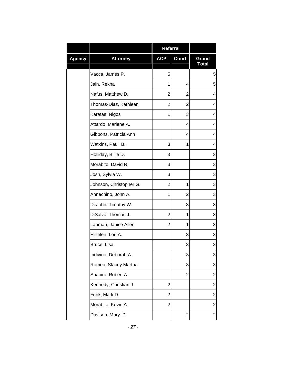|               |                         | <b>Referral</b> |              |                       |
|---------------|-------------------------|-----------------|--------------|-----------------------|
| <b>Agency</b> | <b>Attorney</b>         | <b>ACP</b>      | <b>Court</b> | Grand<br><b>Total</b> |
|               | Vacca, James P.         | 5               |              | 5                     |
|               | Jain, Rekha             | 1               | 4            | 5                     |
|               | Nafus, Matthew D.       | 2               | 2            | 4                     |
|               | Thomas-Diaz, Kathleen   | 2               | 2            | 4                     |
|               | Karatas, Nigos          | $\mathbf{1}$    | 3            | 4                     |
|               | Attardo, Marlene A.     |                 | 4            | 4                     |
|               | Gibbons, Patricia Ann   |                 | 4            | 4                     |
|               | Watkins, Paul B.        | 3               | 1            | 4                     |
|               | Holliday, Billie D.     | 3               |              | 3                     |
|               | Morabito, David R.      | 3               |              | 3                     |
|               | Josh, Sylvia W.         | 3               |              | 3                     |
|               | Johnson, Christopher G. | $\overline{2}$  | 1            | 3                     |
|               | Annechino, John A.      | 1               | 2            | 3                     |
|               | DeJohn, Timothy W.      |                 | 3            | 3                     |
|               | DiSalvo, Thomas J.      | 2               | 1            | 3                     |
|               | Lahman, Janice Allen    | 2               | 1            | 3                     |
|               | Hirtelen, Lori A.       |                 | 3            | 3                     |
|               | Bruce, Lisa             |                 | 3            | 3                     |
|               | Indivino, Deborah A.    |                 | 3            | 3                     |
|               | Romeo, Stacey Martha    |                 | 3            | 3                     |
|               | Shapiro, Robert A.      |                 | 2            | $\overline{c}$        |
|               | Kennedy, Christian J.   | 2               |              | $\overline{c}$        |
|               | Funk, Mark D.           | $\overline{2}$  |              | $\overline{c}$        |
|               | Morabito, Kevin A.      | $\overline{2}$  |              | $\overline{2}$        |
|               | Davison, Mary P.        |                 | 2            | 2                     |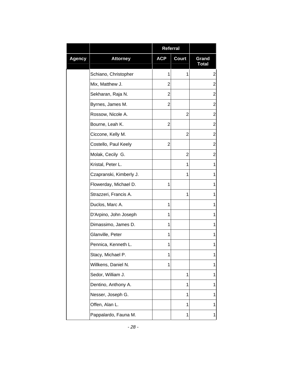|               |                         | <b>Referral</b> |              |                       |
|---------------|-------------------------|-----------------|--------------|-----------------------|
| <b>Agency</b> | <b>Attorney</b>         | <b>ACP</b>      | <b>Court</b> | Grand<br><b>Total</b> |
|               | Schiano, Christopher    | 1               | 1            | $\overline{2}$        |
|               | Mix, Matthew J.         | 2               |              | $\overline{2}$        |
|               | Sekharan, Raja N.       | 2               |              | $\overline{c}$        |
|               | Byrnes, James M.        | $\overline{2}$  |              | $\overline{2}$        |
|               | Rossow, Nicole A.       |                 | 2            | $\overline{2}$        |
|               | Bourne, Leah K.         | $\overline{2}$  |              | $\overline{2}$        |
|               | Ciccone, Kelly M.       |                 | 2            | $\overline{c}$        |
|               | Costello, Paul Keely    | $\overline{2}$  |              | $\overline{2}$        |
|               | Molak, Cecily G.        |                 | 2            | $\overline{2}$        |
|               | Kristal, Peter L.       |                 | 1            | 1                     |
|               | Czapranski, Kimberly J. |                 | 1            | 1                     |
|               | Flowerday, Michael D.   | 1               |              | 1                     |
|               | Strazzeri, Francis A.   |                 | 1            | 1                     |
|               | Duclos, Marc A.         | 1               |              | 1                     |
|               | D'Arpino, John Joseph   | 1               |              | 1                     |
|               | Dimassimo, James D.     | 1               |              | 1                     |
|               | Glanville, Peter        | 1               |              | 1                     |
|               | Pennica, Kenneth L.     | 1               |              | 1                     |
|               | Stacy, Michael P.       | 1               |              | 1                     |
|               | Willkens, Daniel N.     | 1               |              | 1                     |
|               | Sedor, William J.       |                 | 1            | 1                     |
|               | Dentino, Anthony A.     |                 | 1            | 1                     |
|               | Nesser, Joseph G.       |                 | 1            | 1                     |
|               | Offen, Alan L.          |                 | 1            | 1                     |
|               | Pappalardo, Fauna M.    |                 | 1            | 1                     |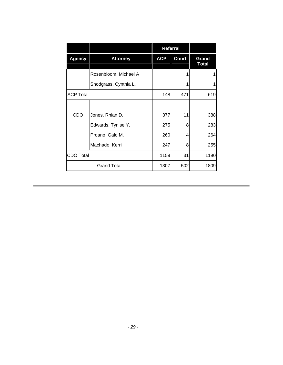|                    |                       | <b>Referral</b> |              |                       |
|--------------------|-----------------------|-----------------|--------------|-----------------------|
| <b>Agency</b>      | <b>Attorney</b>       | <b>ACP</b>      | <b>Court</b> | Grand<br><b>Total</b> |
|                    | Rosenbloom, Michael A |                 |              |                       |
|                    | Snodgrass, Cynthia L. |                 |              |                       |
| <b>ACP Total</b>   |                       | 148             | 471          | 619                   |
|                    |                       |                 |              |                       |
| CDO                | Jones, Rhian D.       | 377             | 11           | 388                   |
|                    | Edwards, Tynise Y.    | 275             | 8            | 283                   |
|                    | Proano, Galo M.       | 260             | 4            | 264                   |
|                    | Machado, Kerri        | 247             | 8            | 255                   |
| <b>CDO Total</b>   |                       | 1159            | 31           | 1190                  |
| <b>Grand Total</b> |                       | 1307            | 502          | 1809                  |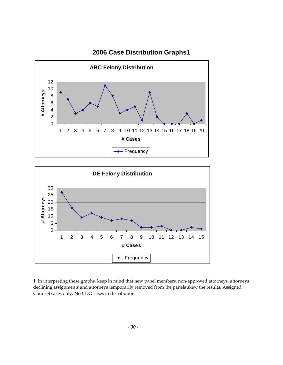<span id="page-31-0"></span>

#### **2006 Case Distribution Graphs1**



1. In interpreting these graphs, keep in mind that new panel members, non‐approved attorneys, attorneys declining assignments and attorneys temporarily removed from the panels skew the results. Assigned Counsel cases only. No CDO cases in distribution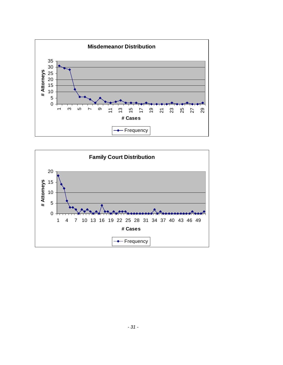

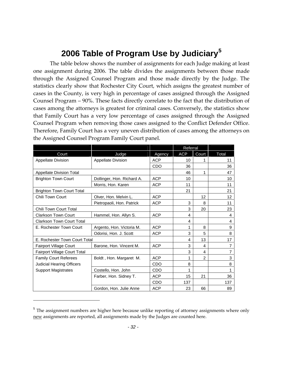## **2006 Table of Program Use by Judiciary[5](#page-33-1)**

<span id="page-33-0"></span>The table below shows the number of assignments for each Judge making at least one assignment during 2006. The table divides the assignments between those made through the Assigned Counsel Program and those made directly by the Judge. The statistics clearly show that Rochester City Court, which assigns the greatest number of cases in the County, is very high in percentage of cases assigned through the Assigned Counsel Program – 90%. These facts directly correlate to the fact that the distribution of cases among the attorneys is greatest for criminal cases. Conversely, the statistics show that Family Court has a very low percentage of cases assigned through the Assigned Counsel Program when removing those cases assigned to the Conflict Defender Office. Therefore, Family Court has a very uneven distribution of cases among the attorneys on the Assigned Counsel Program Family Court panel.

|                                  |                            |            | Referral   |       |                 |
|----------------------------------|----------------------------|------------|------------|-------|-----------------|
| Court                            | Judge                      | Agency     | <b>ACP</b> | Court | Total           |
| <b>Appellate Division</b>        | <b>Appellate Division</b>  | <b>ACP</b> | 10         |       | 11              |
|                                  |                            | <b>CDO</b> | 36         |       | 36              |
| <b>Appellate Division Total</b>  |                            |            | 46         | 1     | 47              |
| <b>Brighton Town Court</b>       | Dollinger, Hon. Richard A. | <b>ACP</b> | 10         |       | 10              |
|                                  | Morris, Hon. Karen         | <b>ACP</b> | 11         |       | 11              |
| <b>Brighton Town Court Total</b> |                            |            | 21         |       | 21              |
| Chili Town Court                 | Olver, Hon. Melvin L.      | <b>ACP</b> |            | 12    | 12 <sup>2</sup> |
|                                  | Pietropaoli, Hon. Patrick  | <b>ACP</b> | 3          | 8     | 11              |
| Chili Town Court Total           |                            |            | 3          | 20    | 23              |
| <b>Clarkson Town Court</b>       | Hammel, Hon. Allyn S.      | <b>ACP</b> | 4          |       | 4               |
| <b>Clarkson Town Court Total</b> |                            |            | 4          |       | 4               |
| E. Rochester Town Court          | Argento, Hon. Victoria M.  | <b>ACP</b> | 1          | 8     | 9               |
|                                  | Odorisi, Hon. J. Scott     | <b>ACP</b> | 3          | 5     | 8               |
| E. Rochester Town Court Total    |                            |            | 4          | 13    | 17              |
| Fairport Village Court           | Barone, Hon. Vincent M.    | <b>ACP</b> | 3          | 4     | 7               |
| Fairport Village Court Total     |                            |            | 3          | 4     | $\overline{7}$  |
| <b>Family Court Referees</b>     | Boldt, Hon. Margaret M.    | <b>ACP</b> | 1          | 2     | 3               |
| <b>Judicial Hearing Officers</b> |                            | <b>CDO</b> | 8          |       | 8               |
| <b>Support Magistrates</b>       | Costello, Hon. John        | CDO        | 1          |       | 1               |
|                                  | Farber, Hon. Sidney T.     | <b>ACP</b> | 15         | 21    | 36              |
|                                  |                            | CDO        | 137        |       | 137             |
|                                  | Gordon, Hon. Julie Anne    | <b>ACP</b> | 23         | 66    | 89              |

<span id="page-33-1"></span><sup>&</sup>lt;sup>5</sup> The assignment numbers are higher here because unlike reporting of attorney assignments where only new assignments are reported, all assignments made by the Judges are counted here.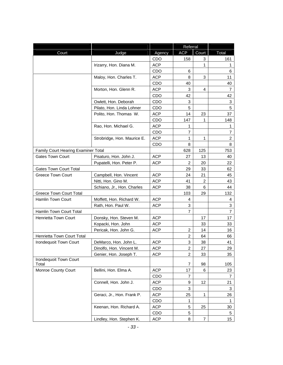|                                        |                             |            | Referral                |       |                |
|----------------------------------------|-----------------------------|------------|-------------------------|-------|----------------|
| Court                                  | Judge                       | Agency     | <b>ACP</b>              | Court | Total          |
|                                        |                             | CDO        | 158                     | 3     | 161            |
|                                        | Irizarry, Hon. Diana M.     | <b>ACP</b> |                         | 1     | 1              |
|                                        |                             | <b>CDO</b> | 6                       |       | 6              |
|                                        | Maloy, Hon. Charles T.      | <b>ACP</b> | 8                       | 3     | 11             |
|                                        |                             | <b>CDO</b> | 40                      |       | 40             |
|                                        | Morton, Hon. Glenn R.       | <b>ACP</b> | 3                       | 4     | 7              |
|                                        |                             | CDO        | 42                      |       | 42             |
|                                        | Owlett, Hon. Deborah        | CDO        | 3                       |       | 3              |
|                                        | Pilato, Hon. Linda Lohner   | <b>CDO</b> | 5                       |       | 5              |
|                                        | Polito, Hon. Thomas W.      | ACP        | 14                      | 23    | 37             |
|                                        |                             | CDO        | 147                     | 1     | 148            |
|                                        | Rao, Hon. Michael G.        | <b>ACP</b> | 1                       |       | 1              |
|                                        |                             | CDO        | $\overline{7}$          |       | $\overline{7}$ |
|                                        | Strobridge, Hon. Maurice E. | <b>ACP</b> | 1                       | 1     | $\overline{2}$ |
|                                        |                             | <b>CDO</b> | 8                       |       | 8              |
| Family Court Hearing Examiner Total    |                             |            | 628                     | 125   | 753            |
| <b>Gates Town Court</b>                | Pisaturo, Hon. John J.      | <b>ACP</b> | 27                      | 13    | 40             |
|                                        | Pupatelli, Hon. Peter P.    | <b>ACP</b> | $\overline{c}$          | 20    | 22             |
| <b>Gates Town Court Total</b>          |                             |            | 29                      | 33    | 62             |
| <b>Greece Town Court</b>               | Campbell, Hon. Vincent      | <b>ACP</b> | 24                      | 21    | 45             |
|                                        | Nitti, Hon. Gino M.         | <b>ACP</b> | 41                      | 2     | 43             |
|                                        | Schiano, Jr., Hon. Charles  | <b>ACP</b> | 38                      | 6     | 44             |
| <b>Greece Town Court Total</b>         |                             |            | 103                     | 29    | 132            |
| Hamlin Town Court                      | Moffett, Hon. Richard W.    | <b>ACP</b> | 4                       |       | 4              |
|                                        | Rath, Hon. Paul W.          | <b>ACP</b> | 3                       |       | $\mathbf{3}$   |
| Hamlin Town Court Total                |                             |            | $\overline{7}$          |       | $\overline{7}$ |
| Henrietta Town Court                   | Donsky, Hon. Steven M.      | <b>ACP</b> |                         | 17    | 17             |
|                                        | Kopacki, Hon. John          | <b>ACP</b> |                         | 33    | 33             |
|                                        | Pericak, Hon. John G.       | <b>ACP</b> | 2                       | 14    | 16             |
| Henrietta Town Court Total             |                             |            | $\overline{\mathbf{c}}$ | 64    | 66             |
| Irondequoit Town Court                 | DeMarco, Hon. John L.       | <b>ACP</b> | 3                       | 38    | 41             |
|                                        | Dinolfo, Hon. Vincent M.    | <b>ACP</b> | $\overline{2}$          | 27    | 29.            |
|                                        | Genier, Hon. Joseph T.      | <b>ACP</b> | 2                       | 33    | 35             |
| <b>Irondequoit Town Court</b><br>Total |                             |            | 7                       | 98    | 105            |
| Monroe County Court                    | Bellini, Hon. Elma A.       | <b>ACP</b> | 17                      | 6     | 23             |
|                                        |                             | CDO        | 7                       |       | 7              |
|                                        | Connell, Hon. John J.       | <b>ACP</b> | 9                       | 12    | 21             |
|                                        |                             | CDO        | 3                       |       | 3              |
|                                        | Geraci, Jr., Hon. Frank P.  | <b>ACP</b> | 25                      | 1     | 26             |
|                                        |                             | CDO        | 1                       |       | 1              |
|                                        | Keenan, Hon. Richard A.     | <b>ACP</b> | 5                       | 25    | 30             |
|                                        |                             | CDO        | 5                       |       | 5              |
|                                        | Lindley, Hon. Stephen K.    | <b>ACP</b> | 8                       | 7     | 15             |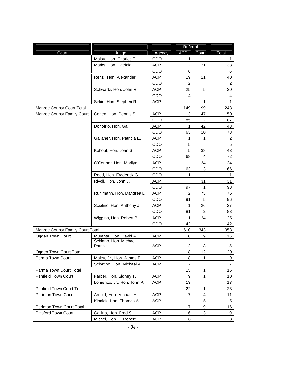| <b>ACP</b><br>Court<br>Judge<br>Court<br>Total<br>Agency<br>Maloy, Hon. Charles T.<br>CDO<br>1<br>1<br>Marks, Hon. Patricia D.<br><b>ACP</b><br>12<br>21<br>33<br>CDO<br>6<br>6<br><b>ACP</b><br>Renzi, Hon. Alexander<br>19<br>21<br>40<br>$\overline{c}$<br>$\overline{2}$<br>CDO<br><b>ACP</b><br>25<br>5<br>Schwartz, Hon. John R.<br>30<br><b>CDO</b><br>4<br>4<br>Sirkin, Hon. Stephen R.<br><b>ACP</b><br>1<br>1<br>Monroe County Court Total<br>149<br>99<br>248<br><b>ACP</b><br>3<br>Monroe County Family Court<br>Cohen, Hon. Dennis S.<br>47<br>50<br>CDO<br>85<br>$\overline{2}$<br>87<br>Donofrio, Hon. Gail<br>42<br><b>ACP</b><br>1<br>43<br>CDO<br>63<br>10<br>73<br>Gallaher, Hon. Patricia E.<br><b>ACP</b><br>1<br>$\overline{2}$<br>1<br>5<br>5<br>CDO<br>5<br>43<br>Kohout, Hon. Joan S.<br><b>ACP</b><br>38<br>CDO<br>68<br>4<br>72<br>O'Connor, Hon. Marilyn L.<br><b>ACP</b><br>34<br>34<br>CDO<br>3<br>63<br>66<br>Reed, Hon. Frederick G.<br>1<br>CDO<br>$\mathbf{1}$<br>Rivoli, Hon. John J.<br><b>ACP</b><br>31<br>31<br><b>CDO</b><br>97<br>1<br>98<br>Ruhlmann, Hon. Dandrea L.<br><b>ACP</b><br>2<br>73<br>75<br>5<br><b>CDO</b><br>91<br>96<br>Sciolino, Hon. Anthony J.<br>26<br><b>ACP</b><br>1<br>27<br>CDO<br>81<br>2<br>83<br>Wiggins, Hon. Robert B.<br><b>ACP</b><br>24<br>1<br>25<br>42<br><b>CDO</b><br>42<br>Monroe County Family Court Total<br>610<br>343<br>953<br>Ogden Town Court<br><b>ACP</b><br>Murante, Hon. David A.<br>6<br>9<br>15<br>Schiano, Hon. Michael<br><b>ACP</b><br>2<br>Patrick<br>3<br>5<br>Ogden Town Court Total<br>12<br>8<br>20<br><b>ACP</b><br>Parma Town Court<br>Maley, Jr., Hon. James E.<br>8<br>1<br>9<br>7<br>$\overline{7}$<br>Sciortino, Hon. Michael A.<br><b>ACP</b><br>Parma Town Court Total<br>$\mathbf{1}$<br>15<br>16<br>Penfield Town Court<br>Farber, Hon. Sidney T.<br><b>ACP</b><br>9<br>1<br>10<br><b>ACP</b><br>Lomenzo, Jr., Hon. John P.<br>13<br>13<br>Penfield Town Court Total<br>22<br>1<br>23<br>Perinton Town Court<br>Arnold, Hon. Michael H.<br><b>ACP</b><br>7<br>4<br>11<br>5<br>Klonick, Hon. Thomas A<br><b>ACP</b><br>5<br>Perinton Town Court Total<br>$\overline{7}$<br>9<br>16<br><b>Pittsford Town Court</b><br><b>ACP</b><br>3<br>Gallina, Hon. Fred S.<br>6<br>9 |  |                        |            | Referral |   |
|------------------------------------------------------------------------------------------------------------------------------------------------------------------------------------------------------------------------------------------------------------------------------------------------------------------------------------------------------------------------------------------------------------------------------------------------------------------------------------------------------------------------------------------------------------------------------------------------------------------------------------------------------------------------------------------------------------------------------------------------------------------------------------------------------------------------------------------------------------------------------------------------------------------------------------------------------------------------------------------------------------------------------------------------------------------------------------------------------------------------------------------------------------------------------------------------------------------------------------------------------------------------------------------------------------------------------------------------------------------------------------------------------------------------------------------------------------------------------------------------------------------------------------------------------------------------------------------------------------------------------------------------------------------------------------------------------------------------------------------------------------------------------------------------------------------------------------------------------------------------------------------------------------------------------------------------------------------------------------------------------------------------------------------------------------------------------------------------------------------------------------------------------------------------------------------------------------------------------------------------------------------------------------|--|------------------------|------------|----------|---|
|                                                                                                                                                                                                                                                                                                                                                                                                                                                                                                                                                                                                                                                                                                                                                                                                                                                                                                                                                                                                                                                                                                                                                                                                                                                                                                                                                                                                                                                                                                                                                                                                                                                                                                                                                                                                                                                                                                                                                                                                                                                                                                                                                                                                                                                                                    |  |                        |            |          |   |
|                                                                                                                                                                                                                                                                                                                                                                                                                                                                                                                                                                                                                                                                                                                                                                                                                                                                                                                                                                                                                                                                                                                                                                                                                                                                                                                                                                                                                                                                                                                                                                                                                                                                                                                                                                                                                                                                                                                                                                                                                                                                                                                                                                                                                                                                                    |  |                        |            |          |   |
|                                                                                                                                                                                                                                                                                                                                                                                                                                                                                                                                                                                                                                                                                                                                                                                                                                                                                                                                                                                                                                                                                                                                                                                                                                                                                                                                                                                                                                                                                                                                                                                                                                                                                                                                                                                                                                                                                                                                                                                                                                                                                                                                                                                                                                                                                    |  |                        |            |          |   |
|                                                                                                                                                                                                                                                                                                                                                                                                                                                                                                                                                                                                                                                                                                                                                                                                                                                                                                                                                                                                                                                                                                                                                                                                                                                                                                                                                                                                                                                                                                                                                                                                                                                                                                                                                                                                                                                                                                                                                                                                                                                                                                                                                                                                                                                                                    |  |                        |            |          |   |
|                                                                                                                                                                                                                                                                                                                                                                                                                                                                                                                                                                                                                                                                                                                                                                                                                                                                                                                                                                                                                                                                                                                                                                                                                                                                                                                                                                                                                                                                                                                                                                                                                                                                                                                                                                                                                                                                                                                                                                                                                                                                                                                                                                                                                                                                                    |  |                        |            |          |   |
|                                                                                                                                                                                                                                                                                                                                                                                                                                                                                                                                                                                                                                                                                                                                                                                                                                                                                                                                                                                                                                                                                                                                                                                                                                                                                                                                                                                                                                                                                                                                                                                                                                                                                                                                                                                                                                                                                                                                                                                                                                                                                                                                                                                                                                                                                    |  |                        |            |          |   |
|                                                                                                                                                                                                                                                                                                                                                                                                                                                                                                                                                                                                                                                                                                                                                                                                                                                                                                                                                                                                                                                                                                                                                                                                                                                                                                                                                                                                                                                                                                                                                                                                                                                                                                                                                                                                                                                                                                                                                                                                                                                                                                                                                                                                                                                                                    |  |                        |            |          |   |
|                                                                                                                                                                                                                                                                                                                                                                                                                                                                                                                                                                                                                                                                                                                                                                                                                                                                                                                                                                                                                                                                                                                                                                                                                                                                                                                                                                                                                                                                                                                                                                                                                                                                                                                                                                                                                                                                                                                                                                                                                                                                                                                                                                                                                                                                                    |  |                        |            |          |   |
|                                                                                                                                                                                                                                                                                                                                                                                                                                                                                                                                                                                                                                                                                                                                                                                                                                                                                                                                                                                                                                                                                                                                                                                                                                                                                                                                                                                                                                                                                                                                                                                                                                                                                                                                                                                                                                                                                                                                                                                                                                                                                                                                                                                                                                                                                    |  |                        |            |          |   |
|                                                                                                                                                                                                                                                                                                                                                                                                                                                                                                                                                                                                                                                                                                                                                                                                                                                                                                                                                                                                                                                                                                                                                                                                                                                                                                                                                                                                                                                                                                                                                                                                                                                                                                                                                                                                                                                                                                                                                                                                                                                                                                                                                                                                                                                                                    |  |                        |            |          |   |
|                                                                                                                                                                                                                                                                                                                                                                                                                                                                                                                                                                                                                                                                                                                                                                                                                                                                                                                                                                                                                                                                                                                                                                                                                                                                                                                                                                                                                                                                                                                                                                                                                                                                                                                                                                                                                                                                                                                                                                                                                                                                                                                                                                                                                                                                                    |  |                        |            |          |   |
|                                                                                                                                                                                                                                                                                                                                                                                                                                                                                                                                                                                                                                                                                                                                                                                                                                                                                                                                                                                                                                                                                                                                                                                                                                                                                                                                                                                                                                                                                                                                                                                                                                                                                                                                                                                                                                                                                                                                                                                                                                                                                                                                                                                                                                                                                    |  |                        |            |          |   |
|                                                                                                                                                                                                                                                                                                                                                                                                                                                                                                                                                                                                                                                                                                                                                                                                                                                                                                                                                                                                                                                                                                                                                                                                                                                                                                                                                                                                                                                                                                                                                                                                                                                                                                                                                                                                                                                                                                                                                                                                                                                                                                                                                                                                                                                                                    |  |                        |            |          |   |
|                                                                                                                                                                                                                                                                                                                                                                                                                                                                                                                                                                                                                                                                                                                                                                                                                                                                                                                                                                                                                                                                                                                                                                                                                                                                                                                                                                                                                                                                                                                                                                                                                                                                                                                                                                                                                                                                                                                                                                                                                                                                                                                                                                                                                                                                                    |  |                        |            |          |   |
|                                                                                                                                                                                                                                                                                                                                                                                                                                                                                                                                                                                                                                                                                                                                                                                                                                                                                                                                                                                                                                                                                                                                                                                                                                                                                                                                                                                                                                                                                                                                                                                                                                                                                                                                                                                                                                                                                                                                                                                                                                                                                                                                                                                                                                                                                    |  |                        |            |          |   |
|                                                                                                                                                                                                                                                                                                                                                                                                                                                                                                                                                                                                                                                                                                                                                                                                                                                                                                                                                                                                                                                                                                                                                                                                                                                                                                                                                                                                                                                                                                                                                                                                                                                                                                                                                                                                                                                                                                                                                                                                                                                                                                                                                                                                                                                                                    |  |                        |            |          |   |
|                                                                                                                                                                                                                                                                                                                                                                                                                                                                                                                                                                                                                                                                                                                                                                                                                                                                                                                                                                                                                                                                                                                                                                                                                                                                                                                                                                                                                                                                                                                                                                                                                                                                                                                                                                                                                                                                                                                                                                                                                                                                                                                                                                                                                                                                                    |  |                        |            |          |   |
|                                                                                                                                                                                                                                                                                                                                                                                                                                                                                                                                                                                                                                                                                                                                                                                                                                                                                                                                                                                                                                                                                                                                                                                                                                                                                                                                                                                                                                                                                                                                                                                                                                                                                                                                                                                                                                                                                                                                                                                                                                                                                                                                                                                                                                                                                    |  |                        |            |          |   |
|                                                                                                                                                                                                                                                                                                                                                                                                                                                                                                                                                                                                                                                                                                                                                                                                                                                                                                                                                                                                                                                                                                                                                                                                                                                                                                                                                                                                                                                                                                                                                                                                                                                                                                                                                                                                                                                                                                                                                                                                                                                                                                                                                                                                                                                                                    |  |                        |            |          |   |
|                                                                                                                                                                                                                                                                                                                                                                                                                                                                                                                                                                                                                                                                                                                                                                                                                                                                                                                                                                                                                                                                                                                                                                                                                                                                                                                                                                                                                                                                                                                                                                                                                                                                                                                                                                                                                                                                                                                                                                                                                                                                                                                                                                                                                                                                                    |  |                        |            |          |   |
|                                                                                                                                                                                                                                                                                                                                                                                                                                                                                                                                                                                                                                                                                                                                                                                                                                                                                                                                                                                                                                                                                                                                                                                                                                                                                                                                                                                                                                                                                                                                                                                                                                                                                                                                                                                                                                                                                                                                                                                                                                                                                                                                                                                                                                                                                    |  |                        |            |          |   |
|                                                                                                                                                                                                                                                                                                                                                                                                                                                                                                                                                                                                                                                                                                                                                                                                                                                                                                                                                                                                                                                                                                                                                                                                                                                                                                                                                                                                                                                                                                                                                                                                                                                                                                                                                                                                                                                                                                                                                                                                                                                                                                                                                                                                                                                                                    |  |                        |            |          |   |
|                                                                                                                                                                                                                                                                                                                                                                                                                                                                                                                                                                                                                                                                                                                                                                                                                                                                                                                                                                                                                                                                                                                                                                                                                                                                                                                                                                                                                                                                                                                                                                                                                                                                                                                                                                                                                                                                                                                                                                                                                                                                                                                                                                                                                                                                                    |  |                        |            |          |   |
|                                                                                                                                                                                                                                                                                                                                                                                                                                                                                                                                                                                                                                                                                                                                                                                                                                                                                                                                                                                                                                                                                                                                                                                                                                                                                                                                                                                                                                                                                                                                                                                                                                                                                                                                                                                                                                                                                                                                                                                                                                                                                                                                                                                                                                                                                    |  |                        |            |          |   |
|                                                                                                                                                                                                                                                                                                                                                                                                                                                                                                                                                                                                                                                                                                                                                                                                                                                                                                                                                                                                                                                                                                                                                                                                                                                                                                                                                                                                                                                                                                                                                                                                                                                                                                                                                                                                                                                                                                                                                                                                                                                                                                                                                                                                                                                                                    |  |                        |            |          |   |
|                                                                                                                                                                                                                                                                                                                                                                                                                                                                                                                                                                                                                                                                                                                                                                                                                                                                                                                                                                                                                                                                                                                                                                                                                                                                                                                                                                                                                                                                                                                                                                                                                                                                                                                                                                                                                                                                                                                                                                                                                                                                                                                                                                                                                                                                                    |  |                        |            |          |   |
|                                                                                                                                                                                                                                                                                                                                                                                                                                                                                                                                                                                                                                                                                                                                                                                                                                                                                                                                                                                                                                                                                                                                                                                                                                                                                                                                                                                                                                                                                                                                                                                                                                                                                                                                                                                                                                                                                                                                                                                                                                                                                                                                                                                                                                                                                    |  |                        |            |          |   |
|                                                                                                                                                                                                                                                                                                                                                                                                                                                                                                                                                                                                                                                                                                                                                                                                                                                                                                                                                                                                                                                                                                                                                                                                                                                                                                                                                                                                                                                                                                                                                                                                                                                                                                                                                                                                                                                                                                                                                                                                                                                                                                                                                                                                                                                                                    |  |                        |            |          |   |
|                                                                                                                                                                                                                                                                                                                                                                                                                                                                                                                                                                                                                                                                                                                                                                                                                                                                                                                                                                                                                                                                                                                                                                                                                                                                                                                                                                                                                                                                                                                                                                                                                                                                                                                                                                                                                                                                                                                                                                                                                                                                                                                                                                                                                                                                                    |  |                        |            |          |   |
|                                                                                                                                                                                                                                                                                                                                                                                                                                                                                                                                                                                                                                                                                                                                                                                                                                                                                                                                                                                                                                                                                                                                                                                                                                                                                                                                                                                                                                                                                                                                                                                                                                                                                                                                                                                                                                                                                                                                                                                                                                                                                                                                                                                                                                                                                    |  |                        |            |          |   |
|                                                                                                                                                                                                                                                                                                                                                                                                                                                                                                                                                                                                                                                                                                                                                                                                                                                                                                                                                                                                                                                                                                                                                                                                                                                                                                                                                                                                                                                                                                                                                                                                                                                                                                                                                                                                                                                                                                                                                                                                                                                                                                                                                                                                                                                                                    |  |                        |            |          |   |
|                                                                                                                                                                                                                                                                                                                                                                                                                                                                                                                                                                                                                                                                                                                                                                                                                                                                                                                                                                                                                                                                                                                                                                                                                                                                                                                                                                                                                                                                                                                                                                                                                                                                                                                                                                                                                                                                                                                                                                                                                                                                                                                                                                                                                                                                                    |  |                        |            |          |   |
|                                                                                                                                                                                                                                                                                                                                                                                                                                                                                                                                                                                                                                                                                                                                                                                                                                                                                                                                                                                                                                                                                                                                                                                                                                                                                                                                                                                                                                                                                                                                                                                                                                                                                                                                                                                                                                                                                                                                                                                                                                                                                                                                                                                                                                                                                    |  |                        |            |          |   |
|                                                                                                                                                                                                                                                                                                                                                                                                                                                                                                                                                                                                                                                                                                                                                                                                                                                                                                                                                                                                                                                                                                                                                                                                                                                                                                                                                                                                                                                                                                                                                                                                                                                                                                                                                                                                                                                                                                                                                                                                                                                                                                                                                                                                                                                                                    |  |                        |            |          |   |
|                                                                                                                                                                                                                                                                                                                                                                                                                                                                                                                                                                                                                                                                                                                                                                                                                                                                                                                                                                                                                                                                                                                                                                                                                                                                                                                                                                                                                                                                                                                                                                                                                                                                                                                                                                                                                                                                                                                                                                                                                                                                                                                                                                                                                                                                                    |  |                        |            |          |   |
|                                                                                                                                                                                                                                                                                                                                                                                                                                                                                                                                                                                                                                                                                                                                                                                                                                                                                                                                                                                                                                                                                                                                                                                                                                                                                                                                                                                                                                                                                                                                                                                                                                                                                                                                                                                                                                                                                                                                                                                                                                                                                                                                                                                                                                                                                    |  |                        |            |          |   |
|                                                                                                                                                                                                                                                                                                                                                                                                                                                                                                                                                                                                                                                                                                                                                                                                                                                                                                                                                                                                                                                                                                                                                                                                                                                                                                                                                                                                                                                                                                                                                                                                                                                                                                                                                                                                                                                                                                                                                                                                                                                                                                                                                                                                                                                                                    |  |                        |            |          |   |
|                                                                                                                                                                                                                                                                                                                                                                                                                                                                                                                                                                                                                                                                                                                                                                                                                                                                                                                                                                                                                                                                                                                                                                                                                                                                                                                                                                                                                                                                                                                                                                                                                                                                                                                                                                                                                                                                                                                                                                                                                                                                                                                                                                                                                                                                                    |  |                        |            |          |   |
|                                                                                                                                                                                                                                                                                                                                                                                                                                                                                                                                                                                                                                                                                                                                                                                                                                                                                                                                                                                                                                                                                                                                                                                                                                                                                                                                                                                                                                                                                                                                                                                                                                                                                                                                                                                                                                                                                                                                                                                                                                                                                                                                                                                                                                                                                    |  |                        |            |          |   |
|                                                                                                                                                                                                                                                                                                                                                                                                                                                                                                                                                                                                                                                                                                                                                                                                                                                                                                                                                                                                                                                                                                                                                                                                                                                                                                                                                                                                                                                                                                                                                                                                                                                                                                                                                                                                                                                                                                                                                                                                                                                                                                                                                                                                                                                                                    |  |                        |            |          |   |
|                                                                                                                                                                                                                                                                                                                                                                                                                                                                                                                                                                                                                                                                                                                                                                                                                                                                                                                                                                                                                                                                                                                                                                                                                                                                                                                                                                                                                                                                                                                                                                                                                                                                                                                                                                                                                                                                                                                                                                                                                                                                                                                                                                                                                                                                                    |  |                        |            |          |   |
|                                                                                                                                                                                                                                                                                                                                                                                                                                                                                                                                                                                                                                                                                                                                                                                                                                                                                                                                                                                                                                                                                                                                                                                                                                                                                                                                                                                                                                                                                                                                                                                                                                                                                                                                                                                                                                                                                                                                                                                                                                                                                                                                                                                                                                                                                    |  |                        |            |          |   |
|                                                                                                                                                                                                                                                                                                                                                                                                                                                                                                                                                                                                                                                                                                                                                                                                                                                                                                                                                                                                                                                                                                                                                                                                                                                                                                                                                                                                                                                                                                                                                                                                                                                                                                                                                                                                                                                                                                                                                                                                                                                                                                                                                                                                                                                                                    |  |                        |            |          |   |
|                                                                                                                                                                                                                                                                                                                                                                                                                                                                                                                                                                                                                                                                                                                                                                                                                                                                                                                                                                                                                                                                                                                                                                                                                                                                                                                                                                                                                                                                                                                                                                                                                                                                                                                                                                                                                                                                                                                                                                                                                                                                                                                                                                                                                                                                                    |  | Michel, Hon. F. Robert | <b>ACP</b> | 8        | 8 |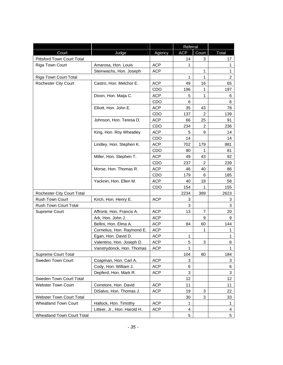|                                 |                              |            | Referral   |                |                           |
|---------------------------------|------------------------------|------------|------------|----------------|---------------------------|
| Court                           | Judge                        | Agency     | <b>ACP</b> | Court          | Total                     |
| Pittsford Town Court Total      |                              |            | 14         | 3              | 17                        |
| Riga Town Court                 | Amarosa, Hon. Louis          | <b>ACP</b> | 1          |                | 1                         |
|                                 | Steinwachs, Hon. Joseph      | <b>ACP</b> |            | 1              | $\mathbf{1}$              |
| Riga Town Court Total           |                              |            | 1          | 1              | $\overline{2}$            |
| Rochester City Court            | Castro, Hon. Melchor E.      | <b>ACP</b> | 49         | 16             | 65                        |
|                                 |                              | CDO        | 196        | 1              | 197                       |
|                                 | Dixon, Hon. Maija C.         | <b>ACP</b> | 5          | 1              | 6                         |
|                                 |                              | CDO        | 6          |                | 6                         |
|                                 | Elliott, Hon. John E.        | <b>ACP</b> | 35         | 43             | 78                        |
|                                 |                              | CDO        | 137        | 2              | 139                       |
|                                 | Johnson, Hon. Teresa D.      | <b>ACP</b> | 66         | 25             | 91                        |
|                                 |                              | <b>CDO</b> | 234        | 2              | 236                       |
|                                 | King, Hon. Roy Wheatley      | <b>ACP</b> | 5          | 9              | 14                        |
|                                 |                              | CDO        | 14         |                | 14                        |
|                                 | Lindley, Hon. Stephen K.     | <b>ACP</b> | 702        | 179            | 881                       |
|                                 |                              | <b>CDO</b> | 80         | 1              | 81                        |
|                                 | Miller, Hon. Stephen T.      | <b>ACP</b> | 49         | 43             | 92                        |
|                                 |                              | CDO        | 237        | $\overline{2}$ | 239                       |
|                                 | Morse, Hon. Thomas R.        | <b>ACP</b> | 46         | 40             | 86                        |
|                                 |                              | CDO        | 179        | 6              | 185                       |
|                                 | Yacknin, Hon. Ellen M.       | <b>ACP</b> | 40         | 18             | 58                        |
|                                 |                              | CDO        | 154        | 1              | 155                       |
| Rochester City Court Total      |                              |            | 2234       | 389            | 2623                      |
| Rush Town Court                 | Kirch, Hon. Henry E.         | <b>ACP</b> | 3          |                | 3                         |
| Rush Town Court Total           |                              |            | 3          |                | 3                         |
| Supreme Court                   | Affronti, Hon. Francis A.    | <b>ACP</b> | 13         | 7              | 20                        |
|                                 | Ark, Hon. John J.            | <b>ACP</b> |            | 9              | 9                         |
|                                 | Bellini, Hon. Elma A.        | <b>ACP</b> | 84         | 60             | 144                       |
|                                 | Cornelius, Hon. Raymond E.   | <b>ACP</b> |            | 1              | 1                         |
|                                 | Egan, Hon. David D.          | <b>ACP</b> | 1          |                | $\mathbf{1}$              |
|                                 | Valentino, Hon. Joseph D.    | <b>ACP</b> | 5          | 3              | 8                         |
|                                 | Vanstrydonck, Hon. Thomas    | <b>ACP</b> | 1          |                | $\mathbf{1}$              |
| Supreme Court Total             |                              |            | 104        | 80             | 184                       |
| Sweden Town Court               | Coapman, Hon. Carl A.        | <b>ACP</b> | 3          |                | 3                         |
|                                 | Cody, Hon. William J.        | <b>ACP</b> | 6          |                | 6                         |
|                                 | Depferd, Hon. Mark R.        | <b>ACP</b> | 3          |                | $\ensuremath{\mathsf{3}}$ |
| Sweden Town Court Total         |                              |            | 12         |                | 12                        |
| <b>Webster Town Court</b>       | Corretore, Hon. David        | <b>ACP</b> | 11         |                | 11                        |
|                                 | DiSalvo, Hon. Thomas J.      | ACP        | 19         | 3              | 22                        |
| <b>Webster Town Court Total</b> |                              |            | 30         | 3              | 33                        |
| <b>Wheatland Town Court</b>     | Hallock, Hon. Timothy        | <b>ACP</b> | 1          |                | 1                         |
|                                 | Litteer, Jr., Hon. Harold H. | <b>ACP</b> | 4          |                | $\overline{4}$            |
| Wheatland Town Court Total      |                              |            | 5          |                | 5 <sup>5</sup>            |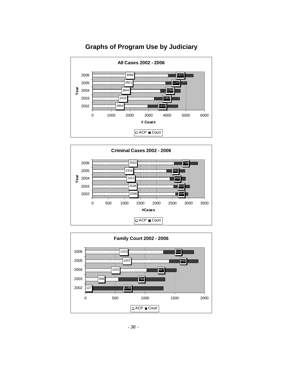<span id="page-37-0"></span>

#### **Graphs of Program Use by Judiciary**



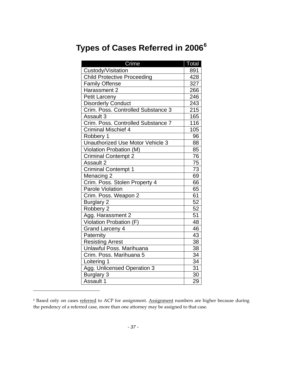# <span id="page-38-0"></span>**Types of Cases Referred in 2006[6](#page-38-1)**

| Crime                                   | <u>Total</u> |
|-----------------------------------------|--------------|
| Custody/Visitation                      | 891          |
| <b>Child Protective Proceeding</b>      | 428          |
| <b>Family Offense</b>                   | 327          |
| Harassment 2                            | 266          |
| <b>Petit Larceny</b>                    | 246          |
| <b>Disorderly Conduct</b>               | 243          |
| Crim. Poss. Controlled Substance 3      | 215          |
| Assault 3                               | 165          |
| Crim. Poss. Controlled Substance 7      | 116          |
| <b>Criminal Mischief 4</b>              | 105          |
| Robbery 1                               | 96           |
| <b>Unauthorized Use Motor Vehicle 3</b> | 88           |
| Violation Probation (M)                 | 85           |
| <b>Criminal Contempt 2</b>              | 76           |
| Assault 2                               | 75           |
| <b>Criminal Contempt 1</b>              | 73           |
| Menacing 2                              | 69           |
| Crim. Poss. Stolen Property 4           | 66           |
| Parole Violation                        | 65           |
| Crim. Poss. Weapon 2                    | 61           |
| <b>Burglary 2</b>                       | 52           |
| Robbery 2                               | 52           |
| Agg. Harassment 2                       | 51           |
| Violation Probation (F)                 | 48           |
| <b>Grand Larceny 4</b>                  | 46           |
| Paternity                               | 43           |
| <b>Resisting Arrest</b>                 | 38           |
| Unlawful Poss. Marihuana                | 38           |
| Crim. Poss. Marihuana 5                 | 34           |
| Loitering 1                             | 34           |
| Agg. Unlicensed Operation 3             | 31           |
| <b>Burglary 3</b>                       | 30           |
| Assault 1                               | 29           |

<span id="page-38-1"></span><sup>&</sup>lt;sup>6</sup> Based only on cases referred to ACP for assignment. Assignment numbers are higher because during the pendency of a referred case, more than one attorney may be assigned to that case.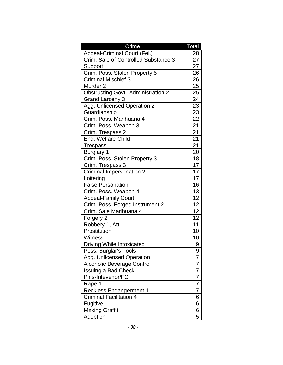| Crime                                      | Total           |
|--------------------------------------------|-----------------|
| Appeal-Criminal Court (Fel.)               | 28              |
| Crim. Sale of Controlled Substance 3       | 27              |
| Support                                    | 27              |
| Crim. Poss. Stolen Property 5              | 26              |
| <b>Criminal Mischief 3</b>                 | 26              |
| Murder <sub>2</sub>                        | $\overline{25}$ |
| <b>Obstructing Govt'l Administration 2</b> | 25              |
| <b>Grand Larceny 3</b>                     | 24              |
| Agg. Unlicensed Operation 2                | $\overline{23}$ |
| Guardianship                               | 23              |
| Crim. Poss. Marihuana 4                    | 22              |
| Crim. Poss. Weapon 3                       | 21              |
| Crim. Trespass 2                           | $\overline{21}$ |
| End. Welfare Child                         | $\overline{21}$ |
| <b>Trespass</b>                            | $\overline{21}$ |
| <b>Burglary 1</b>                          | 20              |
| Crim. Poss. Stolen Property 3              | 18              |
| Crim. Trespass 3                           | 17              |
| <b>Criminal Impersonation 2</b>            | 17              |
| Loitering                                  | 17              |
| <b>False Personation</b>                   | 16              |
| Crim. Poss. Weapon 4                       | 13              |
| <b>Appeal-Family Court</b>                 | 12              |
| Crim. Poss. Forged Instrument 2            | 12              |
| Crim. Sale Marihuana 4                     | 12              |
| Forgery 2                                  | 12              |
| Robbery 1, Att.                            | 11              |
| Prostitution                               | 10              |
| <b>Witness</b>                             | 10              |
| <b>Driving While Intoxicated</b>           | 9               |
| Poss. Burglar's Tools                      | 9               |
| Agg. Unlicensed Operation 1                | 7               |
| <b>Alcoholic Beverage Control</b>          | 7               |
| <b>Issuing a Bad Check</b>                 | 7               |
| Pins-Intevenor/FC                          | 7               |
| Rape 1                                     | 7               |
| <b>Reckless Endangerment 1</b>             | 7               |
| <b>Criminal Facilitation 4</b>             | 6               |
| Fugitive                                   | 6               |
| <b>Making Graffiti</b>                     | 6               |
| Adoption                                   | 5               |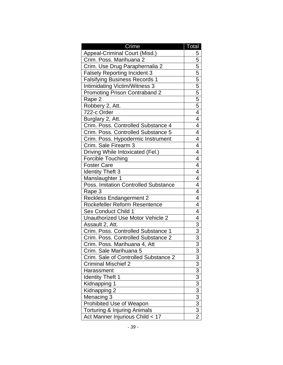| Crime                                   | Total                                                   |
|-----------------------------------------|---------------------------------------------------------|
| Appeal-Criminal Court (Misd.)           | 5                                                       |
| Crim. Poss. Marihuana 2                 | 5                                                       |
| Crim. Use Drug Paraphernalia 2          | 5                                                       |
| <b>Falsely Reporting Incident 3</b>     | $\overline{5}$                                          |
| <b>Falsifying Business Records 1</b>    | $\overline{5}$                                          |
| <b>Intimidating Victim/Witness 3</b>    | $\overline{5}$                                          |
| <b>Promoting Prison Contraband 2</b>    | $\overline{5}$                                          |
| Rape 2                                  | $\overline{5}$                                          |
| Robbery 2, Att.                         | 5                                                       |
| 722-c Order                             | $\overline{4}$                                          |
| Burglary 2, Att.                        | 4                                                       |
| Crim. Poss. Controlled Substance 4      | 4                                                       |
| Crim. Poss. Controlled Substance 5      | 4                                                       |
| Crim. Poss. Hypodermic Instrument       | 4                                                       |
| Crim. Sale Firearm 3                    | 4                                                       |
| Driving While Intoxicated (Fel.)        | $\overline{4}$                                          |
| <b>Forcible Touching</b>                | 4                                                       |
| <b>Foster Care</b>                      | 4                                                       |
| <b>Identity Theft 3</b>                 | 4                                                       |
| Manslaughter 1                          | $\overline{4}$                                          |
| Poss. Imitation Controlled Substance    | 4                                                       |
| Rape 3                                  | 4                                                       |
| <b>Reckless Endangerment 2</b>          | 4                                                       |
| Rockefeller Reform Resentence           | 4                                                       |
| <b>Sex Conduct Child 1</b>              | 4                                                       |
| Unauthorized Use Motor Vehicle 2        | 4                                                       |
| Assault 2, Att.                         | $\frac{3}{3}$                                           |
| Crim. Poss. Controlled Substance 1      |                                                         |
| Crim. Poss. Controlled Substance 2      | $\overline{3}$                                          |
| Crim. Poss. Marihuana 4, Att            | $\overline{3}$                                          |
| Crim. Sale Marihuana 5                  | 3                                                       |
| Crim. Sale of Controlled Substance 2    | $\overline{3}$                                          |
| <b>Criminal Mischief 2</b>              | $\overline{3}$                                          |
| Harassment                              |                                                         |
| <b>Identity Theft 1</b>                 |                                                         |
| Kidnapping 1                            | $\frac{3}{3}$ $\frac{3}{3}$ $\frac{3}{3}$ $\frac{3}{2}$ |
| Kidnapping 2                            |                                                         |
| Menacing 3                              |                                                         |
| Prohibited Use of Weapon                |                                                         |
| <b>Torturing &amp; Injuring Animals</b> |                                                         |
| Act Manner Injurious Child < 17         |                                                         |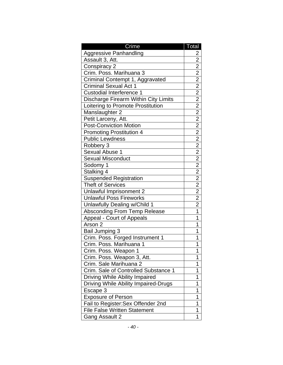| Crime                                | Total          |
|--------------------------------------|----------------|
| <b>Aggressive Panhandling</b>        | $\overline{2}$ |
| Assault 3, Att.                      | $\overline{2}$ |
| Conspiracy 2                         | $\overline{2}$ |
| Crim. Poss. Marihuana 3              | $\overline{2}$ |
| Criminal Contempt 1, Aggravated      |                |
| <b>Criminal Sexual Act 1</b>         |                |
| <b>Custodial Interference 1</b>      |                |
| Discharge Firearm Within City Limits |                |
| Loitering to Promote Prostitution    |                |
| Manslaughter 2                       |                |
| Petit Larceny, Att.                  |                |
| <b>Post-Conviction Motion</b>        |                |
| <b>Promoting Prostitution 4</b>      |                |
| <b>Public Lewdness</b>               |                |
| Robbery 3                            |                |
| Sexual Abuse 1                       |                |
| <b>Sexual Misconduct</b>             |                |
| Sodomy 1                             |                |
| Stalking 4                           |                |
| <b>Suspended Registration</b>        |                |
| Theft of Services                    |                |
| Unlawful Imprisonment 2              |                |
| <b>Unlawful Poss Fireworks</b>       |                |
| Unlawfully Dealing w/Child 1         |                |
| <b>Absconding From Temp Release</b>  | 1              |
| Appeal - Court of Appeals            | 1              |
| Arson <sub>2</sub>                   | 1              |
| <b>Bail Jumping 3</b>                | 1              |
| Crim. Poss. Forged Instrument 1      | 1              |
| Crim. Poss. Marihuana 1              | 1              |
| Crim. Poss. Weapon 1                 | 1              |
| Crim. Poss. Weapon 3, Att.           | 1              |
| Crim. Sale Marihuana 2               | 1              |
| Crim. Sale of Controlled Substance 1 | 1              |
| Driving While Ability Impaired       | 1              |
| Driving While Ability Impaired-Drugs | 1              |
| Escape 3                             | 1              |
| <b>Exposure of Person</b>            | 1              |
| Fail to Register: Sex Offender 2nd   | 1              |
| <b>File False Written Statement</b>  | 1              |
| <b>Gang Assault 2</b>                | 1              |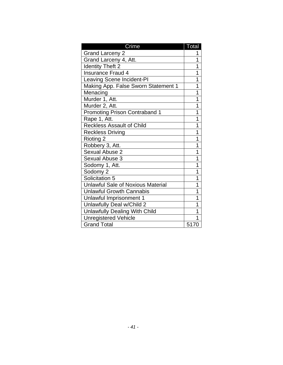| Crime                                    | Total |
|------------------------------------------|-------|
| <b>Grand Larceny 2</b>                   | 1     |
| Grand Larceny 4, Att.                    | 1     |
| <b>Identity Theft 2</b>                  | 1     |
| <b>Insurance Fraud 4</b>                 | 1     |
| Leaving Scene Incident-PI                | 1     |
| Making App. False Sworn Statement 1      | 1     |
| Menacing                                 | 1     |
| Murder 1, Att.                           | 1     |
| Murder 2, Att.                           | 1     |
| <b>Promoting Prison Contraband 1</b>     | 1     |
| Rape 1, Att.                             | 1     |
| <b>Reckless Assault of Child</b>         | 1     |
| <b>Reckless Driving</b>                  | 1     |
| Rioting 2                                | 1     |
| Robbery 3, Att.                          | 1     |
| Sexual Abuse 2                           | 1     |
| <b>Sexual Abuse 3</b>                    | 1     |
| Sodomy 1, Att.                           | 1     |
| Sodomy 2                                 | 1     |
| Solicitation 5                           | 1     |
| <b>Unlawful Sale of Noxious Material</b> | 1     |
| <b>Unlawful Growth Cannabis</b>          | 1     |
| Unlawful Imprisonment 1                  | 1     |
| Unlawfully Deal w/Child 2                | 1     |
| <b>Unlawfully Dealing With Child</b>     | 1     |
| <b>Unregistered Vehicle</b>              | 1     |
| <b>Grand Total</b>                       | 5170  |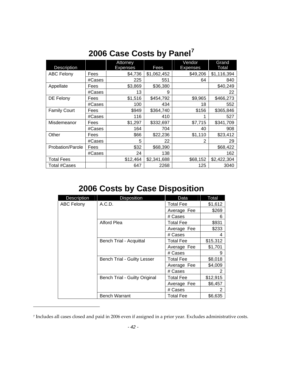<span id="page-43-0"></span>

| <b>Description</b>  |        | Attorney<br>Expenses | Fees        | Vendor<br><b>Expenses</b> | Grand<br>Total |
|---------------------|--------|----------------------|-------------|---------------------------|----------------|
| <b>ABC Felony</b>   | Fees   | \$4,736              | \$1,062,452 | \$49,206                  | \$1,116,394    |
|                     | #Cases | 225                  | 551         | 64                        | 840            |
| Appellate           | Fees   | \$3,869              | \$36,380    |                           | \$40,249       |
|                     | #Cases | 13                   | 9           |                           | 22             |
| DE Felony           | Fees   | \$1,516              | \$454,792   | \$9,965                   | \$466,273      |
|                     | #Cases | 100                  | 434         | 18                        | 552            |
| <b>Family Court</b> | Fees   | \$949                | \$364,740   | \$156                     | \$365,846      |
|                     | #Cases | 116                  | 410         | 1                         | 527            |
| Misdemeanor         | Fees   | \$1,297              | \$332,697   | \$7,715                   | \$341,709      |
|                     | #Cases | 164                  | 704         | 40                        | 908            |
| Other               | Fees   | \$66                 | \$22,236    | \$1,110                   | \$23,412       |
|                     | #Cases | 5                    | 22          | $\overline{2}$            | 29             |
| Probation/Parole    | Fees   | \$32                 | \$68,390    |                           | \$68,422       |
|                     | #Cases | 24                   | 138         |                           | 162            |
| <b>Total Fees</b>   |        | \$12,464             | \$2,341,688 | \$68,152                  | \$2,422,304    |
| Total #Cases        |        | 647                  | 2268        | 125                       | 3040           |

# **2006 Case Costs by Panel[7](#page-43-1)**

# **2006 Costs by Case Disposition**

| Description       | <b>Disposition</b>                 | <b>Data</b>      | Total    |
|-------------------|------------------------------------|------------------|----------|
| <b>ABC Felony</b> | A.C.D.                             | <b>Total Fee</b> | \$1,612  |
|                   |                                    | Average Fee      | \$269    |
|                   |                                    | # Cases          | 6        |
|                   | Alford Plea                        | <b>Total Fee</b> | \$931    |
|                   |                                    | Average Fee      | \$233    |
|                   |                                    | # Cases          | 4        |
|                   | Bench Trial - Acquittal            | <b>Total Fee</b> | \$15,312 |
|                   |                                    | Average Fee      | \$1,701  |
|                   |                                    | # Cases          | 9        |
|                   | <b>Bench Trial - Guilty Lesser</b> | <b>Total Fee</b> | \$8,018  |
|                   |                                    | Average Fee      | \$4,009  |
|                   |                                    | # Cases          | 2        |
|                   | Bench Trial - Guilty Original      | <b>Total Fee</b> | \$12,915 |
|                   |                                    | Average Fee      | \$6,457  |
|                   |                                    | # Cases          | 2        |
|                   | <b>Bench Warrant</b>               | <b>Total Fee</b> | \$6,635  |

<span id="page-43-1"></span><sup>7</sup> Includes all cases closed and paid in 2006 even if assigned in a prior year. Excludes administrative costs.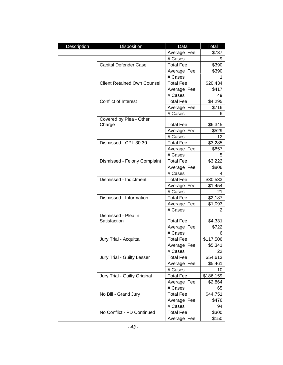| Description | Disposition                        | Data             | Total     |
|-------------|------------------------------------|------------------|-----------|
|             |                                    | Average Fee      | \$737     |
|             |                                    | # Cases          | 9         |
|             | <b>Capital Defender Case</b>       | <b>Total Fee</b> | \$390     |
|             |                                    | Average Fee      | \$390     |
|             |                                    | # Cases          | 1         |
|             | <b>Client Retained Own Counsel</b> | <b>Total Fee</b> | \$20,434  |
|             |                                    | Average Fee      | \$417     |
|             |                                    | # Cases          | 49        |
|             | <b>Conflict of Interest</b>        | <b>Total Fee</b> | \$4,295   |
|             |                                    | Average Fee      | \$716     |
|             |                                    | # Cases          | 6         |
|             | Covered by Plea - Other            |                  |           |
|             | Charge                             | <b>Total Fee</b> | \$6,345   |
|             |                                    | Average Fee      | \$529     |
|             |                                    | # Cases          | 12        |
|             | Dismissed - CPL 30.30              | <b>Total Fee</b> | \$3,285   |
|             |                                    | Average Fee      | \$657     |
|             |                                    | # Cases          | 5         |
|             | Dismissed - Felony Complaint       | <b>Total Fee</b> | \$3,222   |
|             |                                    | Average Fee      | \$806     |
|             |                                    | # Cases          | 4         |
|             | Dismissed - Indictment             | <b>Total Fee</b> | \$30,533  |
|             |                                    | Average Fee      | \$1,454   |
|             |                                    | # Cases          | 21        |
|             | Dismissed - Information            | <b>Total Fee</b> | \$2,187   |
|             |                                    | Average Fee      | \$1,093   |
|             |                                    | # Cases          | 2         |
|             | Dismissed - Plea in                |                  |           |
|             | Satisfaction                       | <b>Total Fee</b> | \$4,331   |
|             |                                    | Average Fee      | \$722     |
|             |                                    | # Cases          | 6         |
|             | Jury Trial - Acquittal             | <b>Total Fee</b> | \$117,506 |
|             |                                    | Average Fee      | \$5,341   |
|             |                                    | # Cases          | 22        |
|             | Jury Trial - Guilty Lesser         | <b>Total Fee</b> | \$54,613  |
|             |                                    | Average Fee      | \$5,461   |
|             |                                    | # Cases          | 10        |
|             | Jury Trial - Guilty Original       | <b>Total Fee</b> | \$186,159 |
|             |                                    | Average Fee      | \$2,864   |
|             |                                    | # Cases          | 65        |
|             | No Bill - Grand Jury               | <b>Total Fee</b> | \$44,751  |
|             |                                    | Average Fee      | \$476     |
|             |                                    | # Cases          | 94        |
|             | No Conflict - PD Continued         | <b>Total Fee</b> | \$300     |
|             |                                    | Average Fee      | \$150     |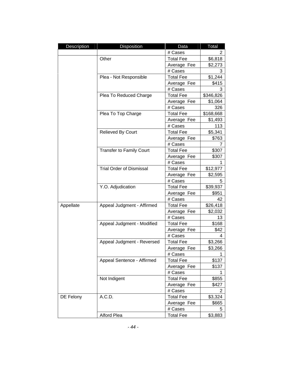| Description | Disposition                     | Data             | Total     |
|-------------|---------------------------------|------------------|-----------|
|             |                                 | # Cases          | 2         |
|             | Other                           | <b>Total Fee</b> | \$6,818   |
|             |                                 | Average Fee      | \$2,273   |
|             |                                 | # Cases          | 3         |
|             | Plea - Not Responsible          | <b>Total Fee</b> | \$1,244   |
|             |                                 | Average Fee      | \$415     |
|             |                                 | # Cases          | 3         |
|             | Plea To Reduced Charge          | <b>Total Fee</b> | \$346,826 |
|             |                                 | Average Fee      | \$1,064   |
|             |                                 | # Cases          | 326       |
|             | Plea To Top Charge              | <b>Total Fee</b> | \$168,668 |
|             |                                 | Average Fee      | \$1,493   |
|             |                                 | # Cases          | 113       |
|             | Relieved By Court               | <b>Total Fee</b> | \$5,341   |
|             |                                 | Average Fee      | \$763     |
|             |                                 | # Cases          | 7         |
|             | <b>Transfer to Family Court</b> | <b>Total Fee</b> | \$307     |
|             |                                 | Average Fee      | \$307     |
|             |                                 | # Cases          |           |
|             | <b>Trial Order of Dismissal</b> | <b>Total Fee</b> | \$12,977  |
|             |                                 | Average Fee      | \$2,595   |
|             |                                 | # Cases          | 5         |
|             | Y.O. Adjudication               | <b>Total Fee</b> | \$39,937  |
|             |                                 | Average Fee      | \$951     |
|             |                                 | # Cases          | 42        |
| Appellate   | Appeal Judgment - Affirmed      | <b>Total Fee</b> | \$26,418  |
|             |                                 | Average Fee      | \$2,032   |
|             |                                 | # Cases          | 13        |
|             | Appeal Judgment - Modified      | <b>Total Fee</b> | \$168     |
|             |                                 | Average Fee      | \$42      |
|             |                                 | # Cases          | 4         |
|             | Appeal Judgment - Reversed      | <b>Total Fee</b> | \$3,266   |
|             |                                 | Average Fee      | \$3,266   |
|             |                                 | # Cases          | 1         |
|             | Appeal Sentence - Affirmed      | <b>Total Fee</b> | \$137     |
|             |                                 | Average Fee      | \$137     |
|             |                                 | # Cases          | 1         |
|             | Not Indigent                    | <b>Total Fee</b> | \$855     |
|             |                                 | Average Fee      | \$427     |
|             |                                 | # Cases          | 2         |
| DE Felony   | A.C.D.                          | <b>Total Fee</b> | \$3,324   |
|             |                                 | Average Fee      | \$665     |
|             |                                 | # Cases          | 5         |
|             | Alford Plea                     | <b>Total Fee</b> | \$3,883   |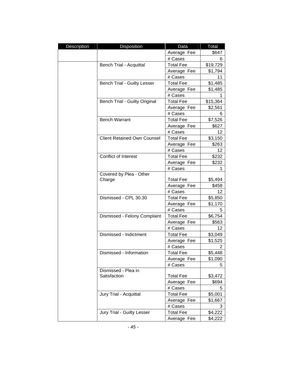| <b>Description</b> | Disposition                        | Data             | Total    |
|--------------------|------------------------------------|------------------|----------|
|                    |                                    | Average Fee      | \$647    |
|                    |                                    | # Cases          | 6        |
|                    | Bench Trial - Acquittal            | <b>Total Fee</b> | \$19,729 |
|                    |                                    | Average Fee      | \$1,794  |
|                    |                                    | # Cases          | 11       |
|                    | Bench Trial - Guilty Lesser        | <b>Total Fee</b> | \$1,485  |
|                    |                                    | Average Fee      | \$1,485  |
|                    |                                    | # Cases          |          |
|                    | Bench Trial - Guilty Original      | <b>Total Fee</b> | \$15,364 |
|                    |                                    | Average Fee      | \$2,561  |
|                    |                                    | # Cases          | 6        |
|                    | <b>Bench Warrant</b>               | <b>Total Fee</b> | \$7,526  |
|                    |                                    | Average Fee      | \$627    |
|                    |                                    | # Cases          | 12       |
|                    | <b>Client Retained Own Counsel</b> | <b>Total Fee</b> | \$3,150  |
|                    |                                    | Average Fee      | \$263    |
|                    |                                    | # Cases          | 12       |
|                    | Conflict of Interest               | <b>Total Fee</b> | \$232    |
|                    |                                    | Average Fee      | \$232    |
|                    |                                    | # Cases          | 1        |
|                    | Covered by Plea - Other            |                  |          |
|                    | Charge                             | <b>Total Fee</b> | \$5,494  |
|                    |                                    | Average Fee      | \$458    |
|                    |                                    | # Cases          | 12       |
|                    | Dismissed - CPL 30.30              | <b>Total Fee</b> | \$5,850  |
|                    |                                    | Average Fee      | \$1,170  |
|                    |                                    | # Cases          | 5        |
|                    | Dismissed - Felony Complaint       | <b>Total Fee</b> | \$6,754  |
|                    |                                    | Average Fee      | \$563    |
|                    |                                    | # Cases          | 12       |
|                    | Dismissed - Indictment             | <b>Total Fee</b> | \$3,049  |
|                    |                                    | Average Fee      | \$1,525  |
|                    |                                    | # Cases          | 2        |
|                    | Dismissed - Information            | <b>Total Fee</b> | \$5,448  |
|                    |                                    | Average Fee      | \$1,090  |
|                    |                                    | # Cases          | 5        |
|                    | Dismissed - Plea in                |                  |          |
|                    | Satisfaction                       | <b>Total Fee</b> | \$3,472  |
|                    |                                    | Average Fee      | \$694    |
|                    |                                    | # Cases          | 5        |
|                    | Jury Trial - Acquittal             | <b>Total Fee</b> | \$5,001  |
|                    |                                    | Average Fee      | \$1,667  |
|                    |                                    | # Cases          | 3        |
|                    | Jury Trial - Guilty Lesser         | <b>Total Fee</b> | \$4,222  |
|                    |                                    | Average Fee      | \$4,222  |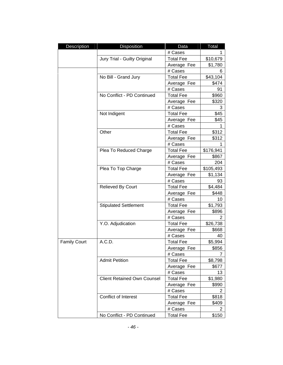| Description         | Disposition                        | Data             | Total          |
|---------------------|------------------------------------|------------------|----------------|
|                     |                                    | # Cases          | 1              |
|                     | Jury Trial - Guilty Original       | <b>Total Fee</b> | \$10,679       |
|                     |                                    | Average Fee      | \$1,780        |
|                     |                                    | # Cases          | 6              |
|                     | No Bill - Grand Jury               | <b>Total Fee</b> | \$43,104       |
|                     |                                    | Average Fee      | \$474          |
|                     |                                    | # Cases          | 91             |
|                     | No Conflict - PD Continued         | <b>Total Fee</b> | \$960          |
|                     |                                    | Average Fee      | \$320          |
|                     |                                    | # Cases          | 3              |
|                     | Not Indigent                       | <b>Total Fee</b> | \$45           |
|                     |                                    | Average Fee      | \$45           |
|                     |                                    | # Cases          | 1              |
|                     | Other                              | <b>Total Fee</b> | \$312          |
|                     |                                    | Average Fee      | \$312          |
|                     |                                    | # Cases          | 1              |
|                     | Plea To Reduced Charge             | <b>Total Fee</b> | \$176,941      |
|                     |                                    | Average Fee      | \$867          |
|                     |                                    | # Cases          | 204            |
|                     | Plea To Top Charge                 | <b>Total Fee</b> | \$105,493      |
|                     |                                    | Average Fee      | \$1,134        |
|                     |                                    | # Cases          | 93             |
|                     | Relieved By Court                  | <b>Total Fee</b> | \$4,484        |
|                     |                                    | Average Fee      | \$448          |
|                     |                                    | # Cases          | 10             |
|                     | <b>Stipulated Settlement</b>       | <b>Total Fee</b> | \$1,793        |
|                     |                                    | Average Fee      | \$896          |
|                     |                                    | # Cases          | 2              |
|                     | Y.O. Adjudication                  | <b>Total Fee</b> | \$26,738       |
|                     |                                    | Average Fee      | \$668          |
|                     |                                    | # Cases          | 40             |
| <b>Family Court</b> | A.C.D.                             | <b>Total Fee</b> | \$5,994        |
|                     |                                    | Average Fee      | \$856          |
|                     |                                    | # Cases          | $\overline{7}$ |
|                     | <b>Admit Petition</b>              | <b>Total Fee</b> | \$8,798        |
|                     |                                    | Average Fee      | \$677          |
|                     |                                    | # Cases          | 13             |
|                     | <b>Client Retained Own Counsel</b> | <b>Total Fee</b> | \$1,980        |
|                     |                                    | Average Fee      | \$990          |
|                     |                                    | # Cases          | 2              |
|                     | <b>Conflict of Interest</b>        | <b>Total Fee</b> | \$818          |
|                     |                                    | Average Fee      | \$409          |
|                     |                                    | # Cases          | 2              |
|                     | No Conflict - PD Continued         | <b>Total Fee</b> | \$150          |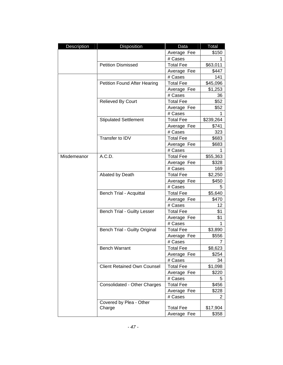| <b>Description</b> | Disposition                         | Data             | Total     |
|--------------------|-------------------------------------|------------------|-----------|
|                    |                                     | Average Fee      | \$150     |
|                    |                                     | # Cases          | 1         |
|                    | <b>Petition Dismissed</b>           | <b>Total Fee</b> | \$63,011  |
|                    |                                     | Average Fee      | \$447     |
|                    |                                     | # Cases          | 141       |
|                    | <b>Petition Found After Hearing</b> | <b>Total Fee</b> | \$45,096  |
|                    |                                     | Average Fee      | \$1,253   |
|                    |                                     | # Cases          | 36        |
|                    | Relieved By Court                   | <b>Total Fee</b> | \$52      |
|                    |                                     | Average Fee      | \$52      |
|                    |                                     | # Cases          | 1         |
|                    | <b>Stipulated Settlement</b>        | <b>Total Fee</b> | \$239,264 |
|                    |                                     | Average Fee      | \$741     |
|                    |                                     | # Cases          | 323       |
|                    | Transfer to IDV                     | <b>Total Fee</b> | \$683     |
|                    |                                     | Average Fee      | \$683     |
|                    |                                     | # Cases          |           |
| Misdemeanor        | A.C.D.                              | <b>Total Fee</b> | \$55,363  |
|                    |                                     | Average Fee      | \$328     |
|                    |                                     | # Cases          | 169       |
|                    | Abated by Death                     | <b>Total Fee</b> | \$2,250   |
|                    |                                     | Average Fee      | \$450     |
|                    |                                     | # Cases          | 5         |
|                    | Bench Trial - Acquittal             | <b>Total Fee</b> | \$5,640   |
|                    |                                     | Average Fee      | \$470     |
|                    |                                     | # Cases          | 12        |
|                    | Bench Trial - Guilty Lesser         | <b>Total Fee</b> | \$1       |
|                    |                                     | Average Fee      | \$1       |
|                    |                                     | # Cases          | 1         |
|                    | Bench Trial - Guilty Original       | <b>Total Fee</b> | \$3,890   |
|                    |                                     | Average Fee      | \$556     |
|                    |                                     | # Cases          | 7         |
|                    | <b>Bench Warrant</b>                | <b>Total Fee</b> | \$8,623   |
|                    |                                     | Average Fee      | \$254     |
|                    |                                     | # Cases          | 34        |
|                    | <b>Client Retained Own Counsel</b>  | <b>Total Fee</b> | \$1,098   |
|                    |                                     | Average Fee      | \$220     |
|                    |                                     | # Cases          | 5         |
|                    | Consolidated - Other Charges        | <b>Total Fee</b> | \$456     |
|                    |                                     | Average Fee      | \$228     |
|                    |                                     | # Cases          | 2         |
|                    | Covered by Plea - Other             |                  |           |
|                    | Charge                              | <b>Total Fee</b> | \$17,904  |
|                    |                                     | Average Fee      | \$358     |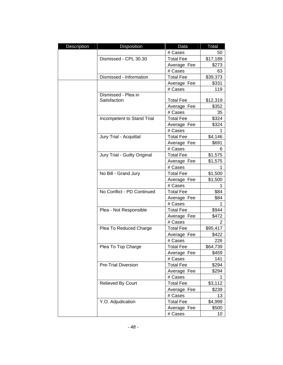| Description | Disposition                  | Data             | Total    |
|-------------|------------------------------|------------------|----------|
|             |                              | # Cases          | 50       |
|             | Dismissed - CPL 30.30        | <b>Total Fee</b> | \$17,189 |
|             |                              | Average Fee      | \$273    |
|             |                              | # Cases          | 63       |
|             | Dismissed - Information      | <b>Total Fee</b> | \$39,373 |
|             |                              | Average Fee      | \$331    |
|             |                              | # Cases          | 119      |
|             | Dismissed - Plea in          |                  |          |
|             | Satisfaction                 | <b>Total Fee</b> | \$12,319 |
|             |                              | Average Fee      | \$352    |
|             |                              | # Cases          | 35       |
|             | Incompetent to Stand Trial   | <b>Total Fee</b> | \$324    |
|             |                              | Average Fee      | \$324    |
|             |                              | # Cases          | 1        |
|             | Jury Trial - Acquittal       | <b>Total Fee</b> | \$4,146  |
|             |                              | Average Fee      | \$691    |
|             |                              | # Cases          | 6        |
|             | Jury Trial - Guilty Original | <b>Total Fee</b> | \$1,575  |
|             |                              | Average Fee      | \$1,575  |
|             |                              | # Cases          | 1        |
|             | No Bill - Grand Jury         | <b>Total Fee</b> | \$1,500  |
|             |                              | Average Fee      | \$1,500  |
|             |                              | # Cases          | 1        |
|             | No Conflict - PD Continued   | <b>Total Fee</b> | \$84     |
|             |                              | Average Fee      | \$84     |
|             |                              | # Cases          | 1        |
|             | Plea - Not Responsible       | <b>Total Fee</b> | \$944    |
|             |                              | Average Fee      | \$472    |
|             |                              | # Cases          | 2        |
|             | Plea To Reduced Charge       | <b>Total Fee</b> | \$95,417 |
|             |                              | Average Fee      | \$422    |
|             |                              | # Cases          | 226      |
|             | Plea To Top Charge           | <b>Total Fee</b> | \$64,739 |
|             |                              | Average Fee      | \$459    |
|             |                              | # Cases          | 141      |
|             | <b>Pre-Trial Diversion</b>   | <b>Total Fee</b> | \$294    |
|             |                              | Average Fee      | \$294    |
|             |                              | # Cases          | 1        |
|             | Relieved By Court            | <b>Total Fee</b> | \$3,112  |
|             |                              | Average Fee      | \$239    |
|             |                              | # Cases          | 13       |
|             | Y.O. Adjudication            | <b>Total Fee</b> | \$4,999  |
|             |                              | Average Fee      | \$500    |
|             |                              | # Cases          | 10       |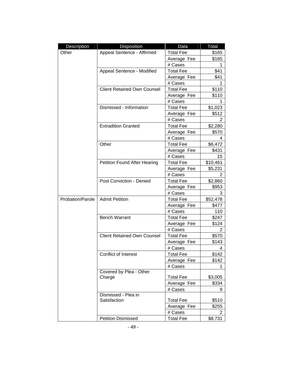| Description      | <b>Disposition</b>                  | Data             | Total          |
|------------------|-------------------------------------|------------------|----------------|
| Other            | Appeal Sentence - Affirmed          | <b>Total Fee</b> | \$165          |
|                  |                                     | Average Fee      | \$165          |
|                  |                                     | # Cases          | 1              |
|                  | Appeal Sentence - Modified          | <b>Total Fee</b> | \$41           |
|                  |                                     | Average Fee      | \$41           |
|                  |                                     | # Cases          | 1              |
|                  | <b>Client Retained Own Counsel</b>  | <b>Total Fee</b> | \$110          |
|                  |                                     | Average Fee      | \$110          |
|                  |                                     | # Cases          |                |
|                  | Dismissed - Information             | <b>Total Fee</b> | \$1,023        |
|                  |                                     | Average Fee      | \$512          |
|                  |                                     | # Cases          | 2              |
|                  | <b>Extradition Granted</b>          | <b>Total Fee</b> | \$2,280        |
|                  |                                     | Average Fee      | \$570          |
|                  |                                     | # Cases          | 4              |
|                  | Other                               | <b>Total Fee</b> | \$6,472        |
|                  |                                     | Average Fee      | \$431          |
|                  |                                     | # Cases          | 15             |
|                  | <b>Petition Found After Hearing</b> | <b>Total Fee</b> | \$10,461       |
|                  |                                     | Average Fee      | \$5,231        |
|                  |                                     | # Cases          | 2              |
|                  | Post Conviction - Denied            | <b>Total Fee</b> | \$2,860        |
|                  |                                     | Average Fee      | \$953          |
|                  |                                     | # Cases          | 3              |
| Probation/Parole | <b>Admit Petition</b>               | <b>Total Fee</b> | \$52,478       |
|                  |                                     | Average Fee      | \$477          |
|                  |                                     | # Cases          | 110            |
|                  | <b>Bench Warrant</b>                | <b>Total Fee</b> | \$247          |
|                  |                                     | Average Fee      | \$124          |
|                  |                                     | # Cases          | $\overline{2}$ |
|                  | <b>Client Retained Own Counsel</b>  | <b>Total Fee</b> | \$570          |
|                  |                                     | Average Fee      | \$143          |
|                  |                                     | # Cases          | 4              |
|                  | Conflict of Interest                | <b>Total Fee</b> | \$142          |
|                  |                                     | Average Fee      | \$142          |
|                  |                                     | # Cases          | 1              |
|                  | Covered by Plea - Other<br>Charge   | <b>Total Fee</b> | \$3,005        |
|                  |                                     | Average Fee      | \$334          |
|                  |                                     | # Cases          | 9              |
|                  | Dismissed - Plea in                 |                  |                |
|                  | Satisfaction                        | <b>Total Fee</b> | \$510          |
|                  |                                     | Average Fee      | \$255          |
|                  |                                     | # Cases          | 2              |
|                  | <b>Petition Dismissed</b>           | <b>Total Fee</b> | \$8,731        |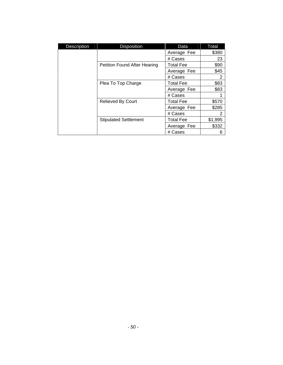| <b>Description</b> | <b>Disposition</b>                  | Data             | Total          |
|--------------------|-------------------------------------|------------------|----------------|
|                    |                                     | Average Fee      | \$380          |
|                    |                                     | # Cases          | 23             |
|                    | <b>Petition Found After Hearing</b> | <b>Total Fee</b> | \$90           |
|                    |                                     | Average Fee      | \$45           |
|                    |                                     | # Cases          | 2              |
|                    | Plea To Top Charge                  | <b>Total Fee</b> | \$83           |
|                    |                                     | Average Fee      | \$83           |
|                    |                                     | # Cases          |                |
|                    | <b>Relieved By Court</b>            | <b>Total Fee</b> | \$570          |
|                    |                                     | Average Fee      | \$285          |
|                    |                                     | # Cases          | $\overline{2}$ |
|                    | <b>Stipulated Settlement</b>        | <b>Total Fee</b> | \$1,995        |
|                    |                                     | Average Fee      | \$332          |
|                    |                                     | # Cases          | 6              |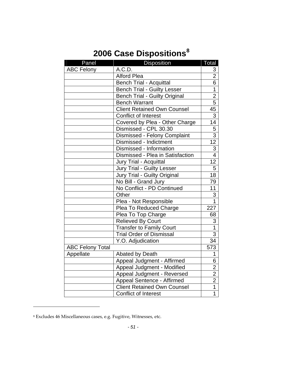# **2006 Case Dispositions[8](#page-52-1)**

<span id="page-52-0"></span>

| Panel                   | Disposition                          | Total                   |
|-------------------------|--------------------------------------|-------------------------|
| <b>ABC Felony</b>       | A.C.D.                               | 3                       |
|                         | <b>Alford Plea</b>                   | $\overline{2}$          |
|                         | <b>Bench Trial - Acquittal</b>       | $\overline{6}$          |
|                         | <b>Bench Trial - Guilty Lesser</b>   | $\overline{1}$          |
|                         | <b>Bench Trial - Guilty Original</b> | $\overline{2}$          |
|                         | <b>Bench Warrant</b>                 | $\overline{5}$          |
|                         | <b>Client Retained Own Counsel</b>   | $\overline{45}$         |
|                         | <b>Conflict of Interest</b>          | $\overline{3}$          |
|                         | Covered by Plea - Other Charge       | 14                      |
|                         | Dismissed - CPL 30.30                | 5                       |
|                         | Dismissed - Felony Complaint         | $\overline{3}$          |
|                         | Dismissed - Indictment               | $\overline{12}$         |
|                         | Dismissed - Information              | $\overline{3}$          |
|                         | Dismissed - Plea in Satisfaction     | $\overline{4}$          |
|                         | Jury Trial - Acquittal               | $\overline{12}$         |
|                         | <b>Jury Trial - Guilty Lesser</b>    | $\overline{5}$          |
|                         | Jury Trial - Guilty Original         | 18                      |
|                         | No Bill - Grand Jury                 | 79                      |
|                         | No Conflict - PD Continued           | 11                      |
|                         | Other                                | 3                       |
|                         | Plea - Not Responsible               | $\overline{1}$          |
|                         | Plea To Reduced Charge               | 227                     |
|                         | Plea To Top Charge                   | 68                      |
|                         | <b>Relieved By Court</b>             | 3                       |
|                         | <b>Transfer to Family Court</b>      | $\overline{1}$          |
|                         | <b>Trial Order of Dismissal</b>      | 3                       |
|                         | Y.O. Adjudication                    | 34                      |
| <b>ABC Felony Total</b> |                                      | 573                     |
| Appellate               | <b>Abated by Death</b>               | 1                       |
|                         | Appeal Judgment - Affirmed           | 6                       |
|                         | Appeal Judgment - Modified           | $\overline{\mathbf{c}}$ |
|                         | Appeal Judgment - Reversed           | $\overline{2}$          |
|                         | Appeal Sentence - Affirmed           | $\overline{2}$          |
|                         | <b>Client Retained Own Counsel</b>   | $\overline{1}$          |
|                         | <b>Conflict of Interest</b>          | $\overline{1}$          |

<span id="page-52-1"></span><sup>8</sup> Excludes 46 Miscellaneous cases, e.g. Fugitive, Witnesses, etc.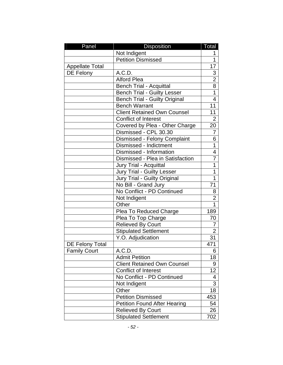| Panel                  | <b>Disposition</b>                   | Total          |
|------------------------|--------------------------------------|----------------|
|                        | Not Indigent                         | 1              |
|                        | <b>Petition Dismissed</b>            | 1              |
| <b>Appellate Total</b> |                                      | 17             |
| DE Felony              | A.C.D.                               |                |
|                        | <b>Alford Plea</b>                   | $\frac{3}{2}$  |
|                        | <b>Bench Trial - Acquittal</b>       | $\overline{8}$ |
|                        | <b>Bench Trial - Guilty Lesser</b>   | $\overline{1}$ |
|                        | <b>Bench Trial - Guilty Original</b> | $\overline{4}$ |
|                        | <b>Bench Warrant</b>                 | 11             |
|                        | <b>Client Retained Own Counsel</b>   | 11             |
|                        | <b>Conflict of Interest</b>          | $\overline{2}$ |
|                        | Covered by Plea - Other Charge       | 20             |
|                        | Dismissed - CPL 30.30                | 7              |
|                        | Dismissed - Felony Complaint         | 6              |
|                        | Dismissed - Indictment               | 1              |
|                        | Dismissed - Information              | 4              |
|                        | Dismissed - Plea in Satisfaction     | 7              |
|                        | Jury Trial - Acquittal               | $\overline{1}$ |
|                        | Jury Trial - Guilty Lesser           | 1              |
|                        | Jury Trial - Guilty Original         | $\overline{1}$ |
|                        | No Bill - Grand Jury                 | 71             |
|                        | No Conflict - PD Continued           | 8              |
|                        | Not Indigent                         | $\overline{2}$ |
|                        | Other                                | $\overline{1}$ |
|                        | Plea To Reduced Charge               | 189            |
|                        | Plea To Top Charge                   | 70             |
|                        | <b>Relieved By Court</b>             | 7              |
|                        | <b>Stipulated Settlement</b>         | $\overline{2}$ |
|                        | Y.O. Adjudication                    | 31             |
| <b>DE Felony Total</b> |                                      | 471            |
| Family Court           | A.C.D.                               | 6              |
|                        | <b>Admit Petition</b>                | 18             |
|                        | <b>Client Retained Own Counsel</b>   | 9              |
|                        | Conflict of Interest                 | 12             |
|                        | No Conflict - PD Continued           | 4              |
|                        | Not Indigent                         | 3              |
|                        | Other                                | 18             |
|                        | <b>Petition Dismissed</b>            | 453            |
|                        | <b>Petition Found After Hearing</b>  | 54             |
|                        | <b>Relieved By Court</b>             | 26             |
|                        | <b>Stipulated Settlement</b>         | 702            |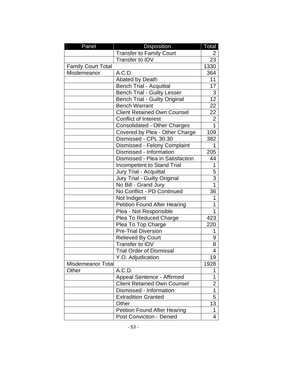| Panel                     | Disposition                          | Total           |
|---------------------------|--------------------------------------|-----------------|
|                           | <b>Transfer to Family Court</b>      | 2               |
|                           | Transfer to IDV                      | 23              |
| <b>Family Court Total</b> |                                      | 1330            |
| Misdemeanor               | A.C.D.                               | 364             |
|                           | <b>Abated by Death</b>               | 11              |
|                           | <b>Bench Trial - Acquittal</b>       | 17              |
|                           | <b>Bench Trial - Guilty Lesser</b>   | 3               |
|                           | <b>Bench Trial - Guilty Original</b> | $\overline{12}$ |
|                           | <b>Bench Warrant</b>                 | 22              |
|                           | <b>Client Retained Own Counsel</b>   | 22              |
|                           | <b>Conflict of Interest</b>          | $\overline{2}$  |
|                           | <b>Consolidated - Other Charges</b>  | $\mathbf{1}$    |
|                           | Covered by Plea - Other Charge       | 109             |
|                           | Dismissed - CPL 30.30                | 382             |
|                           | Dismissed - Felony Complaint         | 1               |
|                           | Dismissed - Information              | 205             |
|                           | Dismissed - Plea in Satisfaction     | 44              |
|                           | <b>Incompetent to Stand Trial</b>    | 1               |
|                           | Jury Trial - Acquittal               | 5               |
|                           | Jury Trial - Guilty Original         | 3               |
|                           | No Bill - Grand Jury                 | $\overline{1}$  |
|                           | No Conflict - PD Continued           | 36              |
|                           | Not Indigent                         | 1               |
|                           | <b>Petition Found After Hearing</b>  | 1               |
|                           | Plea - Not Responsible               | 1               |
|                           | Plea To Reduced Charge               | 423             |
|                           | Plea To Top Charge                   | 220             |
|                           | <b>Pre-Trial Diversion</b>           | 1               |
|                           | <b>Relieved By Court</b>             | 9               |
|                           | Transfer to IDV                      | 8               |
|                           | <b>Trial Order of Dismissal</b>      | 4               |
|                           | Y.O. Adjudication                    | 19              |
| <b>Misdemeanor Total</b>  |                                      | 1928            |
| Other                     | A.C.D.                               | 1               |
|                           | Appeal Sentence - Affirmed           | 1               |
|                           | <b>Client Retained Own Counsel</b>   | $\overline{2}$  |
|                           | Dismissed - Information              | 1               |
|                           | <b>Extradition Granted</b>           | 5               |
|                           | Other                                | 13              |
|                           | <b>Petition Found After Hearing</b>  | 1               |
|                           | <b>Post Conviction - Denied</b>      | 4               |